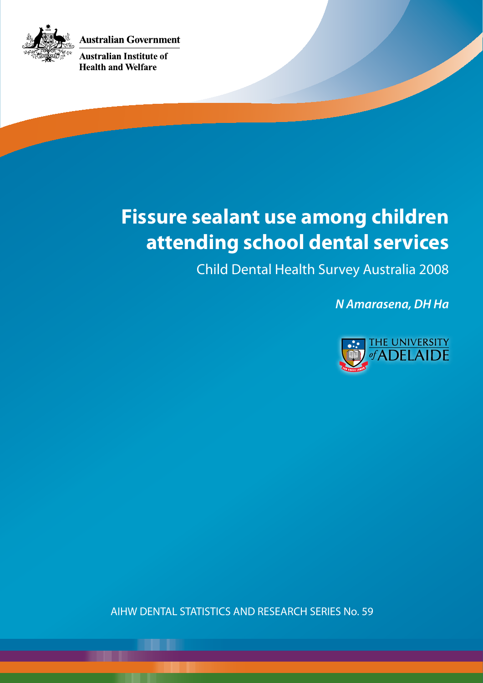**Australian Government** 



**Australian Institute of Health and Welfare** 

# **Fissure sealant use among children attending school dental services**

Child Dental Health Survey Australia 2008

*N Amarasena, DH Ha*



AIHW DENTAL STATISTICS AND RESEARCH SERIES No. 59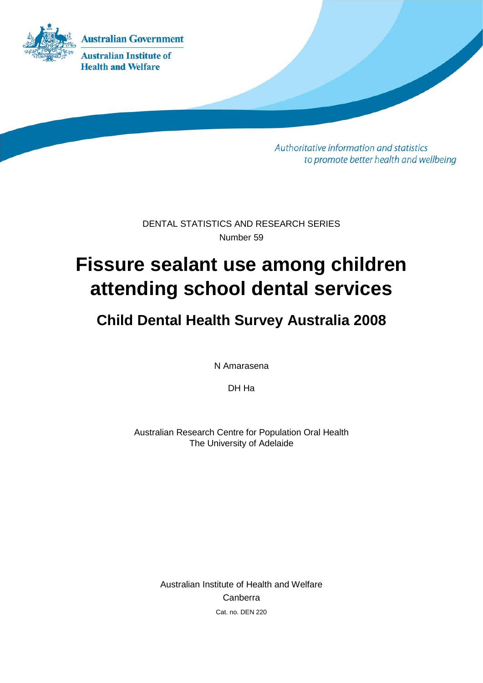

Authoritative information and statistics to promote better health and wellbeing

DENTAL STATISTICS AND RESEARCH SERIES Number 59

# **Fissure sealant use among children attending school dental services**

# **Child Dental Health Survey Australia 2008**

N Amarasena

DH Ha

Australian Research Centre for Population Oral Health The University of Adelaide

> Australian Institute of Health and Welfare Canberra Cat. no. DEN 220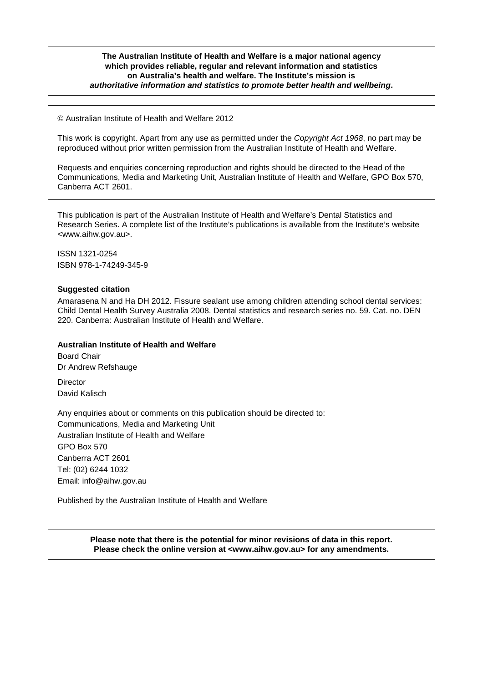#### **The Australian Institute of Health and Welfare is a major national agency which provides reliable, regular and relevant information and statistics on Australia's health and welfare. The Institute's mission is** *authoritative information and statistics to promote better health and wellbeing***.**

© Australian Institute of Health and Welfare 2012

This work is copyright. Apart from any use as permitted under the *Copyright Act 1968*, no part may be reproduced without prior written permission from the Australian Institute of Health and Welfare.

Requests and enquiries concerning reproduction and rights should be directed to the Head of the Communications, Media and Marketing Unit, Australian Institute of Health and Welfare, GPO Box 570, Canberra ACT 2601.

This publication is part of the Australian Institute of Health and Welfare's Dental Statistics and Research Series. A complete list of the Institute's publications is available from the Institute's website <www.aihw.gov.au>.

ISSN 1321-0254 ISBN 978-1-74249-345-9

#### **Suggested citation**

Amarasena N and Ha DH 2012. Fissure sealant use among children attending school dental services: Child Dental Health Survey Australia 2008. Dental statistics and research series no. 59. Cat. no. DEN 220. Canberra: Australian Institute of Health and Welfare.

#### **Australian Institute of Health and Welfare**

Board Chair Dr Andrew Refshauge

**Director** David Kalisch

Any enquiries about or comments on this publication should be directed to: Communications, Media and Marketing Unit Australian Institute of Health and Welfare GPO Box 570 Canberra ACT 2601 Tel: (02) 6244 1032 Email: info@aihw.gov.au

Published by the Australian Institute of Health and Welfare

**Please note that there is the potential for minor revisions of data in this report. Please check the online version at <www.aihw.gov.au> for any amendments.**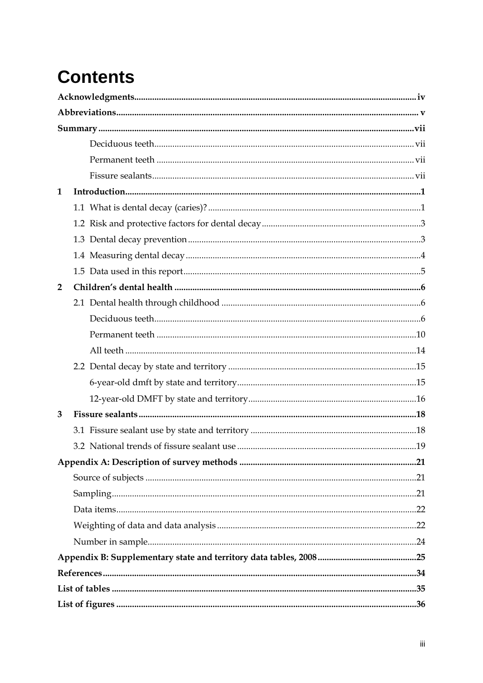# **Contents**

| 1              |  |  |
|----------------|--|--|
|                |  |  |
|                |  |  |
|                |  |  |
|                |  |  |
|                |  |  |
| $\overline{2}$ |  |  |
|                |  |  |
|                |  |  |
|                |  |  |
|                |  |  |
|                |  |  |
|                |  |  |
|                |  |  |
| 3              |  |  |
|                |  |  |
|                |  |  |
|                |  |  |
|                |  |  |
|                |  |  |
|                |  |  |
|                |  |  |
|                |  |  |
|                |  |  |
|                |  |  |
|                |  |  |
|                |  |  |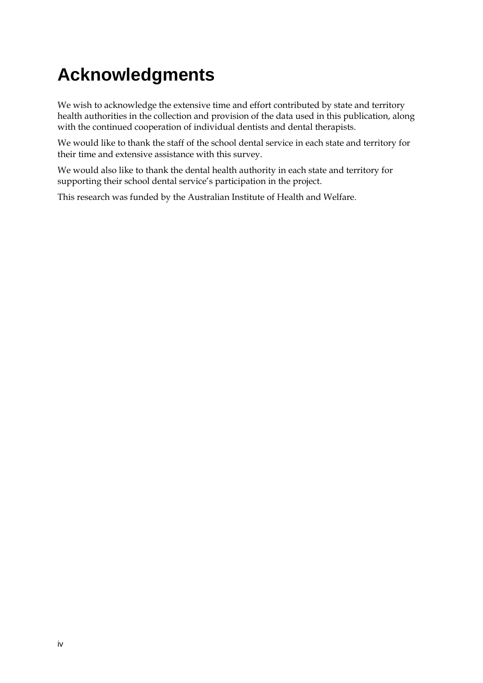# **Acknowledgments**

We wish to acknowledge the extensive time and effort contributed by state and territory health authorities in the collection and provision of the data used in this publication, along with the continued cooperation of individual dentists and dental therapists.

We would like to thank the staff of the school dental service in each state and territory for their time and extensive assistance with this survey.

We would also like to thank the dental health authority in each state and territory for supporting their school dental service's participation in the project.

This research was funded by the Australian Institute of Health and Welfare.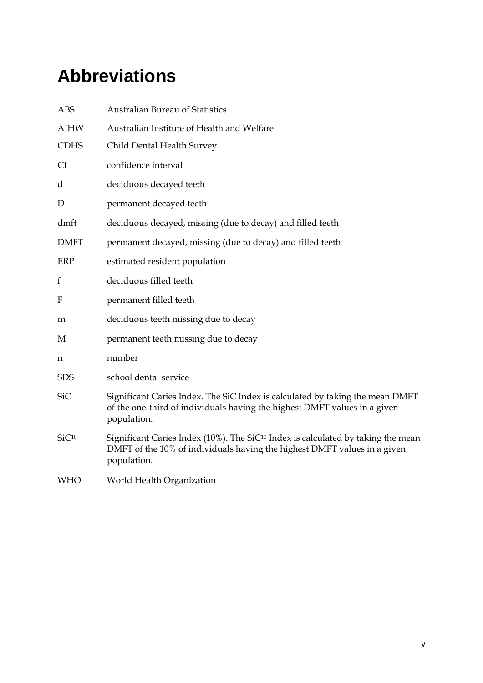# **Abbreviations**

| <b>ABS</b>        | <b>Australian Bureau of Statistics</b>                                                                                                                                                  |
|-------------------|-----------------------------------------------------------------------------------------------------------------------------------------------------------------------------------------|
| <b>AIHW</b>       | Australian Institute of Health and Welfare                                                                                                                                              |
| <b>CDHS</b>       | Child Dental Health Survey                                                                                                                                                              |
| <b>CI</b>         | confidence interval                                                                                                                                                                     |
| d                 | deciduous decayed teeth                                                                                                                                                                 |
| D                 | permanent decayed teeth                                                                                                                                                                 |
| dmft              | deciduous decayed, missing (due to decay) and filled teeth                                                                                                                              |
| <b>DMFT</b>       | permanent decayed, missing (due to decay) and filled teeth                                                                                                                              |
| ERP               | estimated resident population                                                                                                                                                           |
| f                 | deciduous filled teeth                                                                                                                                                                  |
| F                 | permanent filled teeth                                                                                                                                                                  |
| m                 | deciduous teeth missing due to decay                                                                                                                                                    |
| М                 | permanent teeth missing due to decay                                                                                                                                                    |
| n                 | number                                                                                                                                                                                  |
| <b>SDS</b>        | school dental service                                                                                                                                                                   |
| <b>SiC</b>        | Significant Caries Index. The SiC Index is calculated by taking the mean DMFT<br>of the one-third of individuals having the highest DMFT values in a given<br>population.               |
| SiC <sup>10</sup> | Significant Caries Index (10%). The SiC <sup>10</sup> Index is calculated by taking the mean<br>DMFT of the 10% of individuals having the highest DMFT values in a given<br>population. |
| <b>WHO</b>        | World Health Organization                                                                                                                                                               |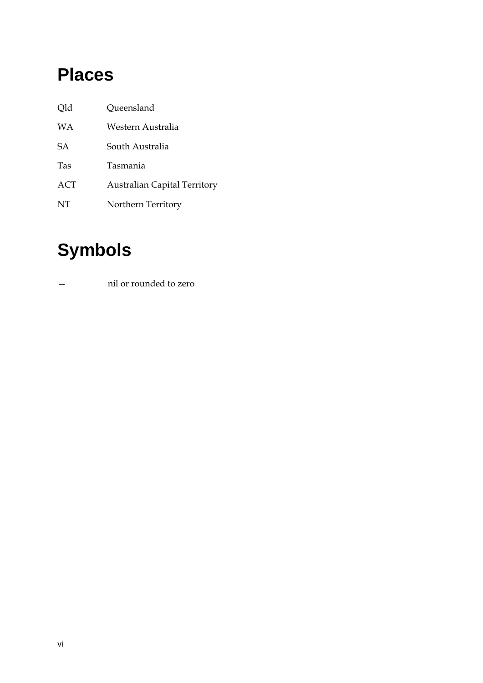# **Places**

| Old        | Queensland                          |
|------------|-------------------------------------|
| WА         | Western Australia                   |
| <b>SA</b>  | South Australia                     |
| Tas        | Tasmania                            |
| <b>ACT</b> | <b>Australian Capital Territory</b> |
| NT         | Northern Territory                  |

# **Symbols**

— nil or rounded to zero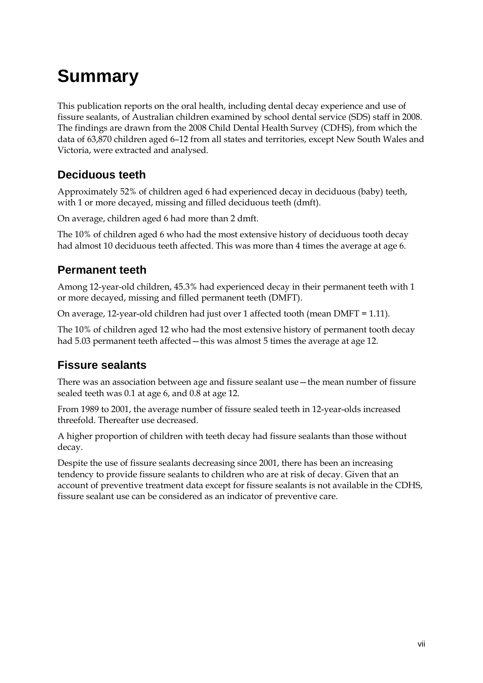# **Summary**

This publication reports on the oral health, including dental decay experience and use of fissure sealants, of Australian children examined by school dental service (SDS) staff in 2008. The findings are drawn from the 2008 Child Dental Health Survey (CDHS), from which the data of 63,870 children aged 6–12 from all states and territories, except New South Wales and Victoria, were extracted and analysed.

## **Deciduous teeth**

Approximately 52% of children aged 6 had experienced decay in deciduous (baby) teeth, with 1 or more decayed, missing and filled deciduous teeth (dmft).

On average, children aged 6 had more than 2 dmft.

The 10% of children aged 6 who had the most extensive history of deciduous tooth decay had almost 10 deciduous teeth affected. This was more than 4 times the average at age 6.

## **Permanent teeth**

Among 12-year-old children, 45.3% had experienced decay in their permanent teeth with 1 or more decayed, missing and filled permanent teeth (DMFT).

On average, 12-year-old children had just over 1 affected tooth (mean DMFT = 1.11).

The 10% of children aged 12 who had the most extensive history of permanent tooth decay had 5.03 permanent teeth affected—this was almost 5 times the average at age 12.

## **Fissure sealants**

There was an association between age and fissure sealant use—the mean number of fissure sealed teeth was 0.1 at age 6, and 0.8 at age 12.

From 1989 to 2001, the average number of fissure sealed teeth in 12-year-olds increased threefold. Thereafter use decreased.

A higher proportion of children with teeth decay had fissure sealants than those without decay.

Despite the use of fissure sealants decreasing since 2001, there has been an increasing tendency to provide fissure sealants to children who are at risk of decay. Given that an account of preventive treatment data except for fissure sealants is not available in the CDHS, fissure sealant use can be considered as an indicator of preventive care.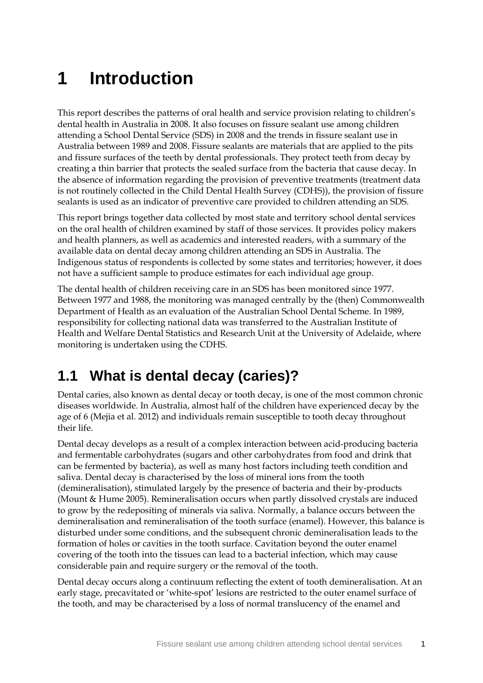# **1 Introduction**

This report describes the patterns of oral health and service provision relating to children's dental health in Australia in 2008. It also focuses on fissure sealant use among children attending a School Dental Service (SDS) in 2008 and the trends in fissure sealant use in Australia between 1989 and 2008. Fissure sealants are materials that are applied to the pits and fissure surfaces of the teeth by dental professionals. They protect teeth from decay by creating a thin barrier that protects the sealed surface from the bacteria that cause decay. In the absence of information regarding the provision of preventive treatments (treatment data is not routinely collected in the Child Dental Health Survey (CDHS)), the provision of fissure sealants is used as an indicator of preventive care provided to children attending an SDS.

This report brings together data collected by most state and territory school dental services on the oral health of children examined by staff of those services. It provides policy makers and health planners, as well as academics and interested readers, with a summary of the available data on dental decay among children attending an SDS in Australia. The Indigenous status of respondents is collected by some states and territories; however, it does not have a sufficient sample to produce estimates for each individual age group.

The dental health of children receiving care in an SDS has been monitored since 1977. Between 1977 and 1988, the monitoring was managed centrally by the (then) Commonwealth Department of Health as an evaluation of the Australian School Dental Scheme. In 1989, responsibility for collecting national data was transferred to the Australian Institute of Health and Welfare Dental Statistics and Research Unit at the University of Adelaide, where monitoring is undertaken using the CDHS.

# **1.1 What is dental decay (caries)?**

Dental caries, also known as dental decay or tooth decay, is one of the most common chronic diseases worldwide. In Australia, almost half of the children have experienced decay by the age of 6 (Mejia et al. 2012) and individuals remain susceptible to tooth decay throughout their life.

Dental decay develops as a result of a complex interaction between acid-producing bacteria and fermentable carbohydrates (sugars and other carbohydrates from food and drink that can be fermented by bacteria), as well as many host factors including teeth condition and saliva. Dental decay is characterised by the loss of mineral ions from the tooth (demineralisation), stimulated largely by the presence of bacteria and their by-products (Mount & Hume 2005). Remineralisation occurs when partly dissolved crystals are induced to grow by the redepositing of minerals via saliva. Normally, a balance occurs between the demineralisation and remineralisation of the tooth surface (enamel). However, this balance is disturbed under some conditions, and the subsequent chronic demineralisation leads to the formation of holes or cavities in the tooth surface. Cavitation beyond the outer enamel covering of the tooth into the tissues can lead to a bacterial infection, which may cause considerable pain and require surgery or the removal of the tooth.

Dental decay occurs along a continuum reflecting the extent of tooth demineralisation. At an early stage, precavitated or 'white-spot' lesions are restricted to the outer enamel surface of the tooth, and may be characterised by a loss of normal translucency of the enamel and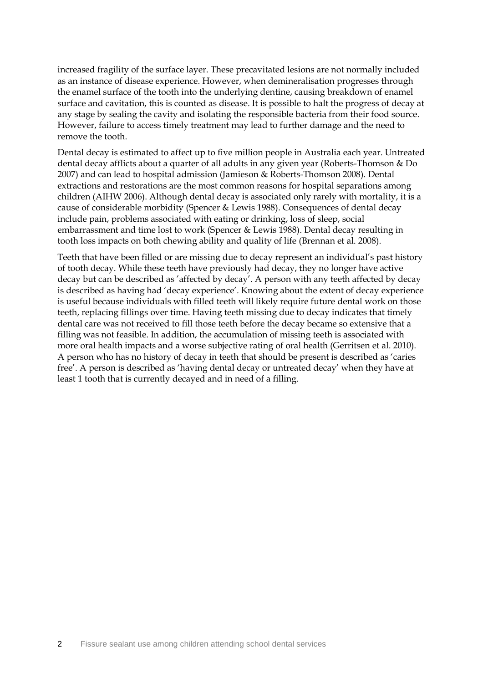increased fragility of the surface layer. These precavitated lesions are not normally included as an instance of disease experience. However, when demineralisation progresses through the enamel surface of the tooth into the underlying dentine, causing breakdown of enamel surface and cavitation, this is counted as disease. It is possible to halt the progress of decay at any stage by sealing the cavity and isolating the responsible bacteria from their food source. However, failure to access timely treatment may lead to further damage and the need to remove the tooth.

Dental decay is estimated to affect up to five million people in Australia each year. Untreated dental decay afflicts about a quarter of all adults in any given year (Roberts-Thomson & Do 2007) and can lead to hospital admission (Jamieson & Roberts-Thomson 2008). Dental extractions and restorations are the most common reasons for hospital separations among children (AIHW 2006). Although dental decay is associated only rarely with mortality, it is a cause of considerable morbidity (Spencer & Lewis 1988). Consequences of dental decay include pain, problems associated with eating or drinking, loss of sleep, social embarrassment and time lost to work (Spencer & Lewis 1988). Dental decay resulting in tooth loss impacts on both chewing ability and quality of life (Brennan et al. 2008).

Teeth that have been filled or are missing due to decay represent an individual's past history of tooth decay. While these teeth have previously had decay, they no longer have active decay but can be described as 'affected by decay'. A person with any teeth affected by decay is described as having had 'decay experience'. Knowing about the extent of decay experience is useful because individuals with filled teeth will likely require future dental work on those teeth, replacing fillings over time. Having teeth missing due to decay indicates that timely dental care was not received to fill those teeth before the decay became so extensive that a filling was not feasible. In addition, the accumulation of missing teeth is associated with more oral health impacts and a worse subjective rating of oral health (Gerritsen et al. 2010). A person who has no history of decay in teeth that should be present is described as 'caries free'. A person is described as 'having dental decay or untreated decay' when they have at least 1 tooth that is currently decayed and in need of a filling.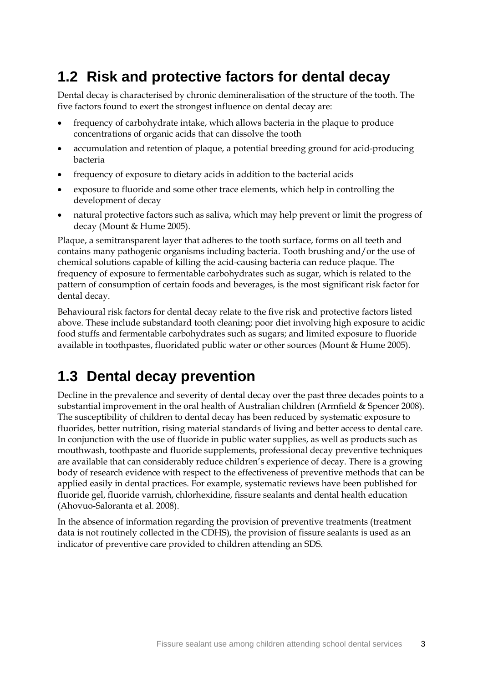# **1.2 Risk and protective factors for dental decay**

Dental decay is characterised by chronic demineralisation of the structure of the tooth. The five factors found to exert the strongest influence on dental decay are:

- frequency of carbohydrate intake, which allows bacteria in the plaque to produce concentrations of organic acids that can dissolve the tooth
- accumulation and retention of plaque, a potential breeding ground for acid-producing bacteria
- frequency of exposure to dietary acids in addition to the bacterial acids
- exposure to fluoride and some other trace elements, which help in controlling the development of decay
- natural protective factors such as saliva, which may help prevent or limit the progress of decay (Mount & Hume 2005).

Plaque, a semitransparent layer that adheres to the tooth surface, forms on all teeth and contains many pathogenic organisms including bacteria. Tooth brushing and/or the use of chemical solutions capable of killing the acid-causing bacteria can reduce plaque. The frequency of exposure to fermentable carbohydrates such as sugar, which is related to the pattern of consumption of certain foods and beverages, is the most significant risk factor for dental decay.

Behavioural risk factors for dental decay relate to the five risk and protective factors listed above. These include substandard tooth cleaning; poor diet involving high exposure to acidic food stuffs and fermentable carbohydrates such as sugars; and limited exposure to fluoride available in toothpastes, fluoridated public water or other sources (Mount & Hume 2005).

## **1.3 Dental decay prevention**

Decline in the prevalence and severity of dental decay over the past three decades points to a substantial improvement in the oral health of Australian children (Armfield & Spencer 2008). The susceptibility of children to dental decay has been reduced by systematic exposure to fluorides, better nutrition, rising material standards of living and better access to dental care. In conjunction with the use of fluoride in public water supplies, as well as products such as mouthwash, toothpaste and fluoride supplements, professional decay preventive techniques are available that can considerably reduce children's experience of decay. There is a growing body of research evidence with respect to the effectiveness of preventive methods that can be applied easily in dental practices. For example, systematic reviews have been published for fluoride gel, fluoride varnish, chlorhexidine, fissure sealants and dental health education (Ahovuo-Saloranta et al. 2008).

In the absence of information regarding the provision of preventive treatments (treatment data is not routinely collected in the CDHS), the provision of fissure sealants is used as an indicator of preventive care provided to children attending an SDS.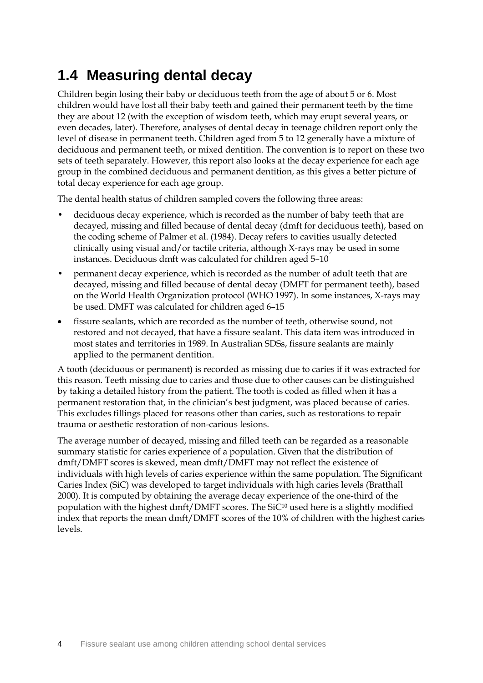# **1.4 Measuring dental decay**

Children begin losing their baby or deciduous teeth from the age of about 5 or 6. Most children would have lost all their baby teeth and gained their permanent teeth by the time they are about 12 (with the exception of wisdom teeth, which may erupt several years, or even decades, later). Therefore, analyses of dental decay in teenage children report only the level of disease in permanent teeth. Children aged from 5 to 12 generally have a mixture of deciduous and permanent teeth, or mixed dentition. The convention is to report on these two sets of teeth separately. However, this report also looks at the decay experience for each age group in the combined deciduous and permanent dentition, as this gives a better picture of total decay experience for each age group.

The dental health status of children sampled covers the following three areas:

- deciduous decay experience, which is recorded as the number of baby teeth that are decayed, missing and filled because of dental decay (dmft for deciduous teeth), based on the coding scheme of Palmer et al. (1984). Decay refers to cavities usually detected clinically using visual and/or tactile criteria, although X-rays may be used in some instances. Deciduous dmft was calculated for children aged 5–10
- permanent decay experience, which is recorded as the number of adult teeth that are decayed, missing and filled because of dental decay (DMFT for permanent teeth), based on the World Health Organization protocol (WHO 1997). In some instances, X-rays may be used. DMFT was calculated for children aged 6–15
- fissure sealants, which are recorded as the number of teeth, otherwise sound, not restored and not decayed, that have a fissure sealant. This data item was introduced in most states and territories in 1989. In Australian SDSs, fissure sealants are mainly applied to the permanent dentition.

A tooth (deciduous or permanent) is recorded as missing due to caries if it was extracted for this reason. Teeth missing due to caries and those due to other causes can be distinguished by taking a detailed history from the patient. The tooth is coded as filled when it has a permanent restoration that, in the clinician's best judgment, was placed because of caries. This excludes fillings placed for reasons other than caries, such as restorations to repair trauma or aesthetic restoration of non-carious lesions.

The average number of decayed, missing and filled teeth can be regarded as a reasonable summary statistic for caries experience of a population. Given that the distribution of dmft/DMFT scores is skewed, mean dmft/DMFT may not reflect the existence of individuals with high levels of caries experience within the same population. The Significant Caries Index (SiC) was developed to target individuals with high caries levels (Bratthall 2000). It is computed by obtaining the average decay experience of the one-third of the population with the highest dmft/DMFT scores. The  $SiC^{10}$  used here is a slightly modified index that reports the mean dmft/DMFT scores of the 10% of children with the highest caries levels.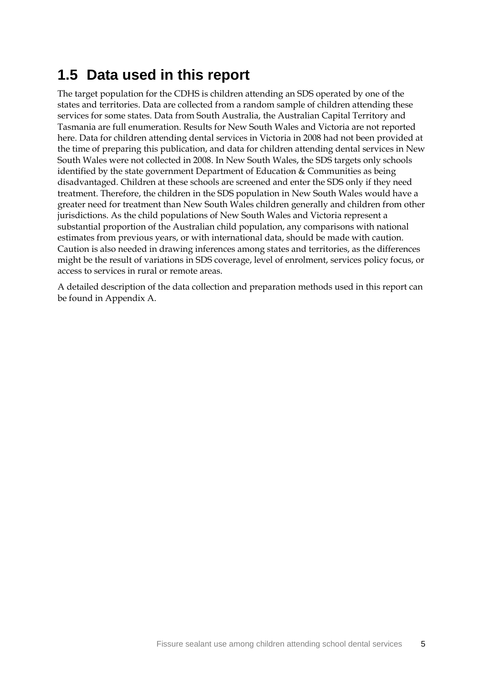# **1.5 Data used in this report**

The target population for the CDHS is children attending an SDS operated by one of the states and territories. Data are collected from a random sample of children attending these services for some states. Data from South Australia, the Australian Capital Territory and Tasmania are full enumeration. Results for New South Wales and Victoria are not reported here. Data for children attending dental services in Victoria in 2008 had not been provided at the time of preparing this publication, and data for children attending dental services in New South Wales were not collected in 2008. In New South Wales, the SDS targets only schools identified by the state government Department of Education & Communities as being disadvantaged. Children at these schools are screened and enter the SDS only if they need treatment. Therefore, the children in the SDS population in New South Wales would have a greater need for treatment than New South Wales children generally and children from other jurisdictions. As the child populations of New South Wales and Victoria represent a substantial proportion of the Australian child population, any comparisons with national estimates from previous years, or with international data, should be made with caution. Caution is also needed in drawing inferences among states and territories, as the differences might be the result of variations in SDS coverage, level of enrolment, services policy focus, or access to services in rural or remote areas.

A detailed description of the data collection and preparation methods used in this report can be found in Appendix A.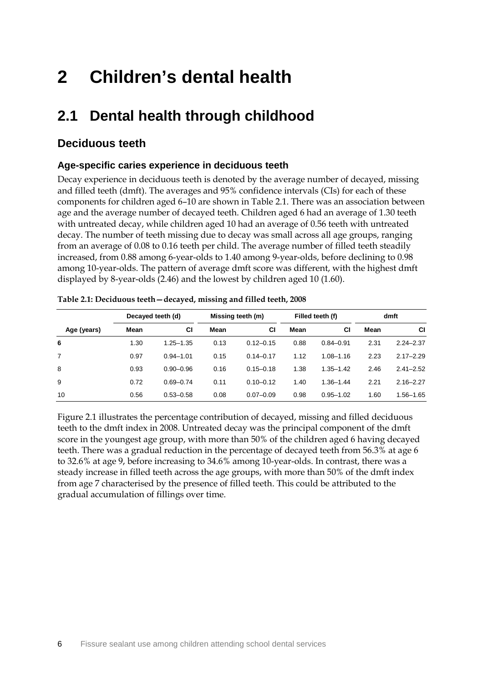# **2 Children's dental health**

# **2.1 Dental health through childhood**

## **Deciduous teeth**

### **Age-specific caries experience in deciduous teeth**

Decay experience in deciduous teeth is denoted by the average number of decayed, missing and filled teeth (dmft). The averages and 95% confidence intervals (CIs) for each of these components for children aged 6–10 are shown in Table 2.1. There was an association between age and the average number of decayed teeth. Children aged 6 had an average of 1.30 teeth with untreated decay, while children aged 10 had an average of 0.56 teeth with untreated decay. The number of teeth missing due to decay was small across all age groups, ranging from an average of 0.08 to 0.16 teeth per child. The average number of filled teeth steadily increased, from 0.88 among 6-year-olds to 1.40 among 9-year-olds, before declining to 0.98 among 10-year-olds. The pattern of average dmft score was different, with the highest dmft displayed by 8-year-olds (2.46) and the lowest by children aged 10 (1.60).

|             | Decayed teeth (d) |               | Missing teeth (m) |               | Filled teeth (f) |               | dmft |               |
|-------------|-------------------|---------------|-------------------|---------------|------------------|---------------|------|---------------|
| Age (years) | Mean              | СI            | Mean              | СI            | Mean             | СI            | Mean | CI            |
| 6           | 1.30              | $1.25 - 1.35$ | 0.13              | $0.12 - 0.15$ | 0.88             | $0.84 - 0.91$ | 2.31 | $2.24 - 2.37$ |
| 7           | 0.97              | $0.94 - 1.01$ | 0.15              | $0.14 - 0.17$ | 1.12             | $1.08 - 1.16$ | 2.23 | $2.17 - 2.29$ |
| 8           | 0.93              | $0.90 - 0.96$ | 0.16              | $0.15 - 0.18$ | 1.38             | $1.35 - 1.42$ | 2.46 | $2.41 - 2.52$ |
| 9           | 0.72              | $0.69 - 0.74$ | 0.11              | $0.10 - 0.12$ | 1.40             | $1.36 - 1.44$ | 2.21 | $2.16 - 2.27$ |
| 10          | 0.56              | $0.53 - 0.58$ | 0.08              | $0.07 - 0.09$ | 0.98             | $0.95 - 1.02$ | 1.60 | $1.56 - 1.65$ |

<span id="page-14-0"></span>

|  | Table 2.1: Deciduous teeth - decayed, missing and filled teeth, 2008 |  |
|--|----------------------------------------------------------------------|--|
|  |                                                                      |  |

Figure 2.1 illustrates the percentage contribution of decayed, missing and filled deciduous teeth to the dmft index in 2008. Untreated decay was the principal component of the dmft score in the youngest age group, with more than 50% of the children aged 6 having decayed teeth. There was a gradual reduction in the percentage of decayed teeth from 56.3% at age 6 to 32.6% at age 9, before increasing to 34.6% among 10-year-olds. In contrast, there was a steady increase in filled teeth across the age groups, with more than 50% of the dmft index from age 7 characterised by the presence of filled teeth. This could be attributed to the gradual accumulation of fillings over time.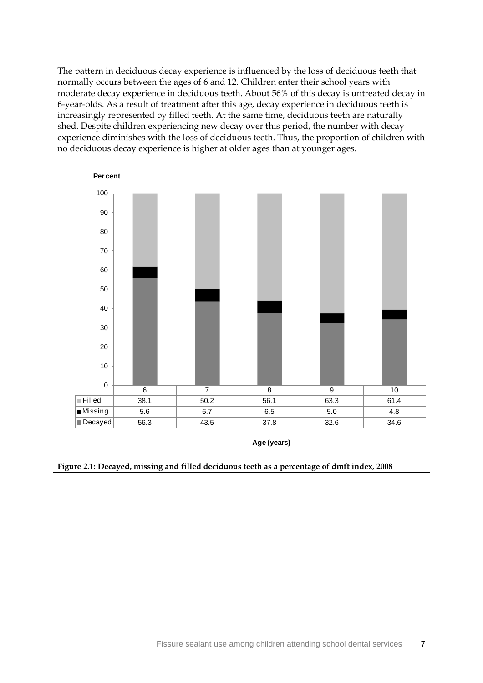The pattern in deciduous decay experience is influenced by the loss of deciduous teeth that normally occurs between the ages of 6 and 12. Children enter their school years with moderate decay experience in deciduous teeth. About 56% of this decay is untreated decay in 6-year-olds. As a result of treatment after this age, decay experience in deciduous teeth is increasingly represented by filled teeth. At the same time, deciduous teeth are naturally shed. Despite children experiencing new decay over this period, the number with decay experience diminishes with the loss of deciduous teeth. Thus, the proportion of children with no deciduous decay experience is higher at older ages than at younger ages.

<span id="page-15-0"></span>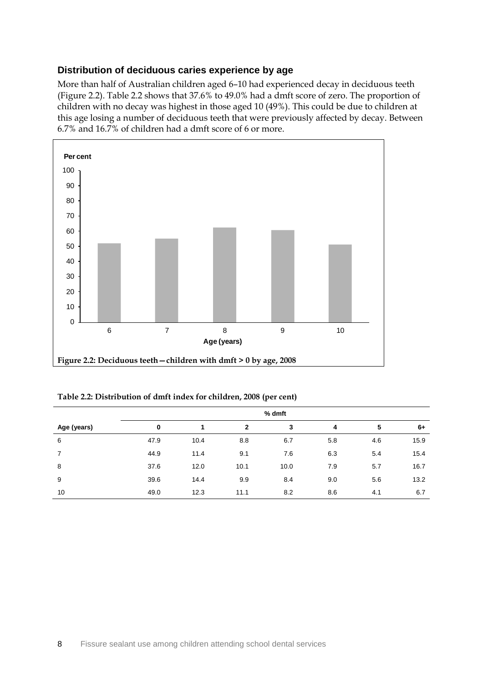### **Distribution of deciduous caries experience by age**

More than half of Australian children aged 6–10 had experienced decay in deciduous teeth (Figure 2.2). Table 2.2 shows that 37.6% to 49.0% had a dmft score of zero. The proportion of children with no decay was highest in those aged 10 (49%). This could be due to children at this age losing a number of deciduous teeth that were previously affected by decay. Between 6.7% and 16.7% of children had a dmft score of 6 or more.



<span id="page-16-1"></span><span id="page-16-0"></span>**Table 2.2: Distribution of dmft index for children, 2008 (per cent)**

|             | % dmft |      |              |      |     |     |      |  |
|-------------|--------|------|--------------|------|-----|-----|------|--|
| Age (years) | 0      |      | $\mathbf{2}$ | 3    | 4   | 5   | $6+$ |  |
| 6           | 47.9   | 10.4 | 8.8          | 6.7  | 5.8 | 4.6 | 15.9 |  |
| 7           | 44.9   | 11.4 | 9.1          | 7.6  | 6.3 | 5.4 | 15.4 |  |
| 8           | 37.6   | 12.0 | 10.1         | 10.0 | 7.9 | 5.7 | 16.7 |  |
| 9           | 39.6   | 14.4 | 9.9          | 8.4  | 9.0 | 5.6 | 13.2 |  |
| 10          | 49.0   | 12.3 | 11.1         | 8.2  | 8.6 | 4.1 | 6.7  |  |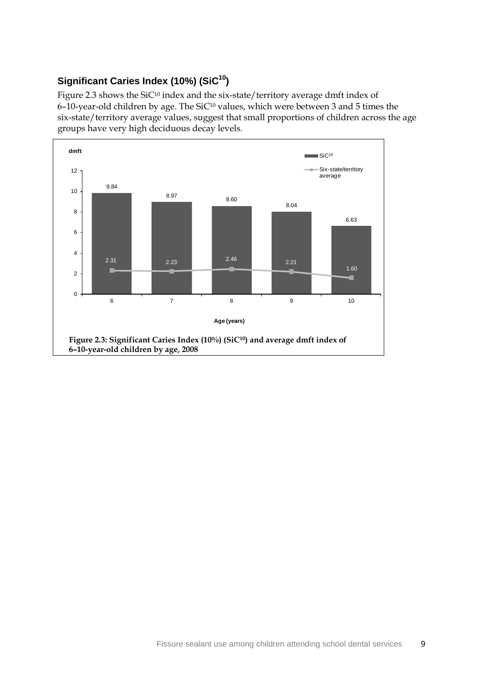## **Significant Caries Index (10%) (SiC10)**

Figure 2.3 shows the SiC<sup>10</sup> index and the six-state/territory average dmft index of 6–10-year-old children by age. The SiC<sup>10</sup> values, which were between 3 and 5 times the six-state/territory average values, suggest that small proportions of children across the age groups have very high deciduous decay levels.

<span id="page-17-0"></span>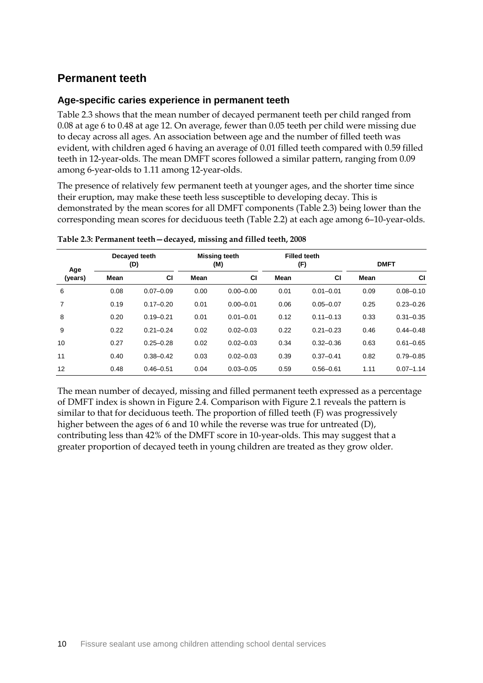## **Permanent teeth**

### **Age-specific caries experience in permanent teeth**

Table 2.3 shows that the mean number of decayed permanent teeth per child ranged from 0.08 at age 6 to 0.48 at age 12. On average, fewer than 0.05 teeth per child were missing due to decay across all ages. An association between age and the number of filled teeth was evident, with children aged 6 having an average of 0.01 filled teeth compared with 0.59 filled teeth in 12-year-olds. The mean DMFT scores followed a similar pattern, ranging from 0.09 among 6-year-olds to 1.11 among 12-year-olds.

The presence of relatively few permanent teeth at younger ages, and the shorter time since their eruption, may make these teeth less susceptible to developing decay. This is demonstrated by the mean scores for all DMFT components (Table 2.3) being lower than the corresponding mean scores for deciduous teeth (Table 2.2) at each age among 6–10-year-olds.

| Age     |      | Decayed teeth<br>(D) | <b>Missing teeth</b><br>(M) |               | <b>Filled teeth</b><br>(F) |               | <b>DMFT</b> |               |
|---------|------|----------------------|-----------------------------|---------------|----------------------------|---------------|-------------|---------------|
| (years) | Mean | <b>CI</b>            | Mean                        | <b>CI</b>     | Mean                       | <b>CI</b>     | Mean        | <b>CI</b>     |
| 6       | 0.08 | $0.07 - 0.09$        | 0.00                        | $0.00 - 0.00$ | 0.01                       | $0.01 - 0.01$ | 0.09        | $0.08 - 0.10$ |
| 7       | 0.19 | $0.17 - 0.20$        | 0.01                        | $0.00 - 0.01$ | 0.06                       | $0.05 - 0.07$ | 0.25        | $0.23 - 0.26$ |
| 8       | 0.20 | $0.19 - 0.21$        | 0.01                        | $0.01 - 0.01$ | 0.12                       | $0.11 - 0.13$ | 0.33        | $0.31 - 0.35$ |
| 9       | 0.22 | $0.21 - 0.24$        | 0.02                        | $0.02 - 0.03$ | 0.22                       | $0.21 - 0.23$ | 0.46        | $0.44 - 0.48$ |
| 10      | 0.27 | $0.25 - 0.28$        | 0.02                        | $0.02 - 0.03$ | 0.34                       | $0.32 - 0.36$ | 0.63        | $0.61 - 0.65$ |
| 11      | 0.40 | $0.38 - 0.42$        | 0.03                        | $0.02 - 0.03$ | 0.39                       | $0.37 - 0.41$ | 0.82        | $0.79 - 0.85$ |
| 12      | 0.48 | $0.46 - 0.51$        | 0.04                        | $0.03 - 0.05$ | 0.59                       | $0.56 - 0.61$ | 1.11        | $0.07 - 1.14$ |

<span id="page-18-0"></span>

The mean number of decayed, missing and filled permanent teeth expressed as a percentage of DMFT index is shown in Figure 2.4. Comparison with Figure 2.1 reveals the pattern is similar to that for deciduous teeth. The proportion of filled teeth (F) was progressively higher between the ages of 6 and 10 while the reverse was true for untreated (D), contributing less than 42% of the DMFT score in 10-year-olds. This may suggest that a greater proportion of decayed teeth in young children are treated as they grow older.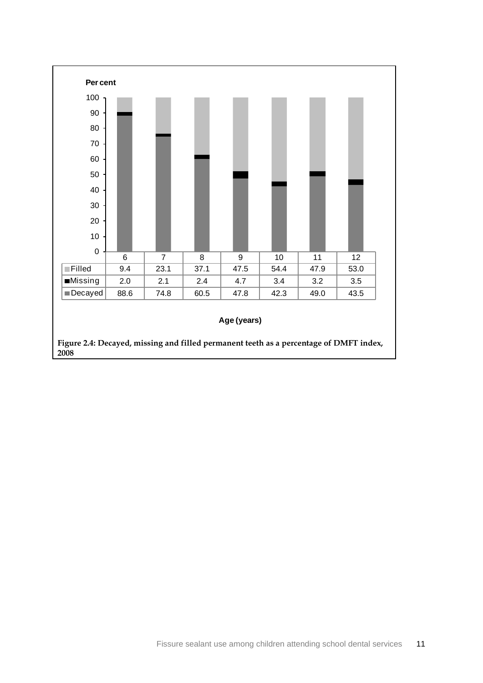<span id="page-19-0"></span>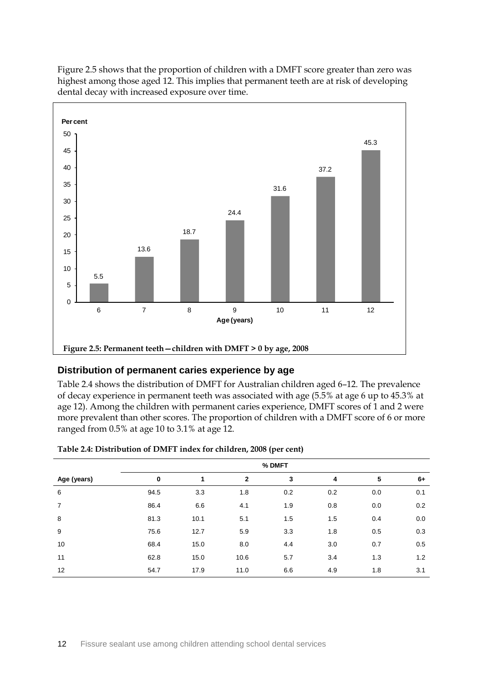

Figure 2.5 shows that the proportion of children with a DMFT score greater than zero was highest among those aged 12. This implies that permanent teeth are at risk of developing dental decay with increased exposure over time.

### <span id="page-20-1"></span>**Distribution of permanent caries experience by age**

Table 2.4 shows the distribution of DMFT for Australian children aged 6–12. The prevalence of decay experience in permanent teeth was associated with age (5.5% at age 6 up to 45.3% at age 12). Among the children with permanent caries experience, DMFT scores of 1 and 2 were more prevalent than other scores. The proportion of children with a DMFT score of 6 or more ranged from 0.5% at age 10 to 3.1% at age 12.

|                | % DMFT   |      |              |     |     |     |      |  |
|----------------|----------|------|--------------|-----|-----|-----|------|--|
| Age (years)    | $\bf{0}$ | 1    | $\mathbf{2}$ | 3   | 4   | 5   | $6+$ |  |
| 6              | 94.5     | 3.3  | 1.8          | 0.2 | 0.2 | 0.0 | 0.1  |  |
| $\overline{7}$ | 86.4     | 6.6  | 4.1          | 1.9 | 0.8 | 0.0 | 0.2  |  |
| 8              | 81.3     | 10.1 | 5.1          | 1.5 | 1.5 | 0.4 | 0.0  |  |
| 9              | 75.6     | 12.7 | 5.9          | 3.3 | 1.8 | 0.5 | 0.3  |  |
| 10             | 68.4     | 15.0 | 8.0          | 4.4 | 3.0 | 0.7 | 0.5  |  |
| 11             | 62.8     | 15.0 | 10.6         | 5.7 | 3.4 | 1.3 | 1.2  |  |
| 12             | 54.7     | 17.9 | 11.0         | 6.6 | 4.9 | 1.8 | 3.1  |  |

<span id="page-20-0"></span>

| Table 2.4: Distribution of DMFT index for children, 2008 (per cent) |  |  |
|---------------------------------------------------------------------|--|--|
|---------------------------------------------------------------------|--|--|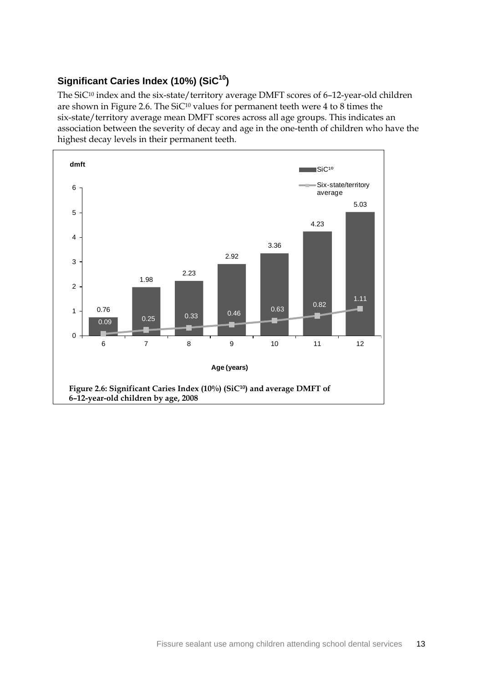## **Significant Caries Index (10%) (SiC10)**

The SiC<sup>10</sup> index and the six-state/territory average DMFT scores of 6-12-year-old children are shown in Figure 2.6. The SiC<sup>10</sup> values for permanent teeth were 4 to 8 times the six-state/territory average mean DMFT scores across all age groups. This indicates an association between the severity of decay and age in the one-tenth of children who have the highest decay levels in their permanent teeth.

<span id="page-21-0"></span>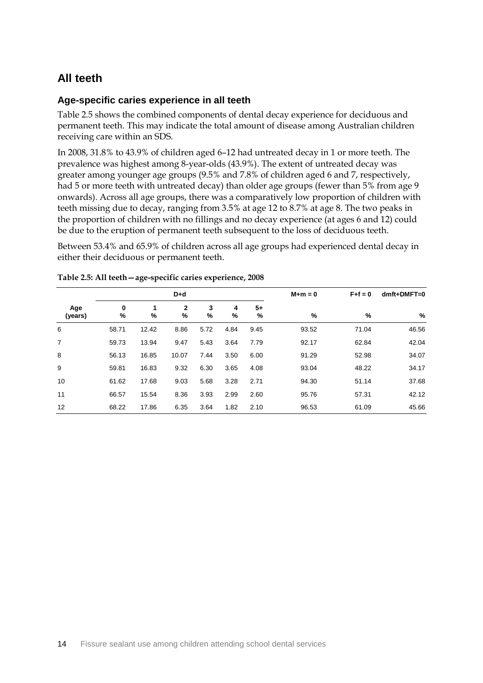## **All teeth**

### **Age-specific caries experience in all teeth**

Table 2.5 shows the combined components of dental decay experience for deciduous and permanent teeth. This may indicate the total amount of disease among Australian children receiving care within an SDS.

In 2008, 31.8% to 43.9% of children aged 6–12 had untreated decay in 1 or more teeth. The prevalence was highest among 8-year-olds (43.9%). The extent of untreated decay was greater among younger age groups (9.5% and 7.8% of children aged 6 and 7, respectively, had 5 or more teeth with untreated decay) than older age groups (fewer than 5% from age 9 onwards). Across all age groups, there was a comparatively low proportion of children with teeth missing due to decay, ranging from 3.5% at age 12 to 8.7% at age 8. The two peaks in the proportion of children with no fillings and no decay experience (at ages 6 and 12) could be due to the eruption of permanent teeth subsequent to the loss of deciduous teeth.

Between 53.4% and 65.9% of children across all age groups had experienced dental decay in either their deciduous or permanent teeth.

|                |        |       | $D+d$            |        |        |           | $M+m=0$ | $F + f = 0$ | $dmft+DMFT=0$ |
|----------------|--------|-------|------------------|--------|--------|-----------|---------|-------------|---------------|
| Age<br>(years) | 0<br>% | %     | $\mathbf 2$<br>% | 3<br>% | 4<br>% | $5+$<br>% | %       | %           | %             |
| 6              | 58.71  | 12.42 | 8.86             | 5.72   | 4.84   | 9.45      | 93.52   | 71.04       | 46.56         |
| 7              | 59.73  | 13.94 | 9.47             | 5.43   | 3.64   | 7.79      | 92.17   | 62.84       | 42.04         |
| 8              | 56.13  | 16.85 | 10.07            | 7.44   | 3.50   | 6.00      | 91.29   | 52.98       | 34.07         |
| 9              | 59.81  | 16.83 | 9.32             | 6.30   | 3.65   | 4.08      | 93.04   | 48.22       | 34.17         |
| 10             | 61.62  | 17.68 | 9.03             | 5.68   | 3.28   | 2.71      | 94.30   | 51.14       | 37.68         |
| 11             | 66.57  | 15.54 | 8.36             | 3.93   | 2.99   | 2.60      | 95.76   | 57.31       | 42.12         |
| 12             | 68.22  | 17.86 | 6.35             | 3.64   | 1.82   | 2.10      | 96.53   | 61.09       | 45.66         |

### <span id="page-22-0"></span>**Table 2.5: All teeth—age-specific caries experience, 2008**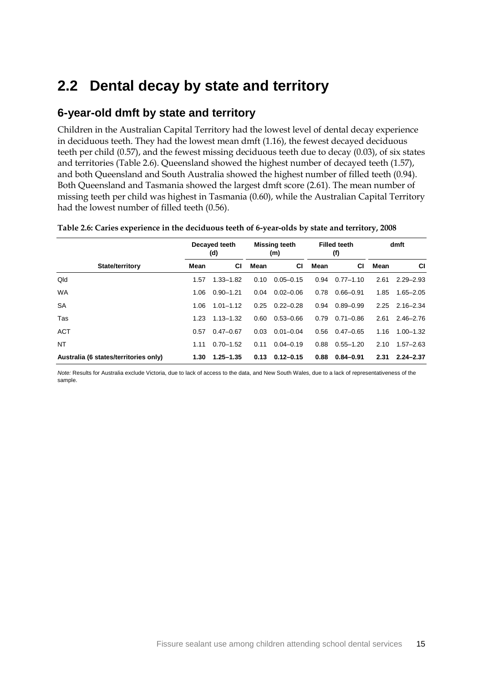## **2.2 Dental decay by state and territory**

## **6-year-old dmft by state and territory**

Children in the Australian Capital Territory had the lowest level of dental decay experience in deciduous teeth. They had the lowest mean dmft (1.16), the fewest decayed deciduous teeth per child (0.57), and the fewest missing deciduous teeth due to decay (0.03), of six states and territories (Table 2.6). Queensland showed the highest number of decayed teeth (1.57), and both Queensland and South Australia showed the highest number of filled teeth (0.94). Both Queensland and Tasmania showed the largest dmft score (2.61). The mean number of missing teeth per child was highest in Tasmania (0.60), while the Australian Capital Territory had the lowest number of filled teeth (0.56).

<span id="page-23-0"></span>

| Table 2.6: Caries experience in the deciduous teeth of 6-year-olds by state and territory, 2008 |  |  |  |  |  |
|-------------------------------------------------------------------------------------------------|--|--|--|--|--|
|-------------------------------------------------------------------------------------------------|--|--|--|--|--|

|                                       | Decayed teeth<br>(d) |               | <b>Missing teeth</b><br>(m) |               | <b>Filled teeth</b><br>(f) |               | dmft |               |
|---------------------------------------|----------------------|---------------|-----------------------------|---------------|----------------------------|---------------|------|---------------|
| <b>State/territory</b>                | Mean                 | <b>CI</b>     | Mean                        | <b>CI</b>     | Mean                       | СI            | Mean | СI            |
| Qld                                   | 1.57                 | $1.33 - 1.82$ | 0.10                        | $0.05 - 0.15$ | 0.94                       | $0.77 - 1.10$ | 2.61 | $2.29 - 2.93$ |
| <b>WA</b>                             | 1.06                 | $0.90 - 1.21$ | 0.04                        | $0.02 - 0.06$ | 0.78                       | $0.66 - 0.91$ | 1.85 | $1.65 - 2.05$ |
| <b>SA</b>                             | 1.06                 | $1.01 - 1.12$ | 0.25                        | $0.22 - 0.28$ | 0.94                       | $0.89 - 0.99$ | 2.25 | $2.16 - 2.34$ |
| Tas                                   | 1.23                 | $1.13 - 1.32$ | 0.60                        | $0.53 - 0.66$ | 0.79                       | $0.71 - 0.86$ | 2.61 | $2.46 - 2.76$ |
| <b>ACT</b>                            | 0.57                 | $0.47 - 0.67$ | 0.03                        | $0.01 - 0.04$ | 0.56                       | $0.47 - 0.65$ | 1.16 | $1.00 - 1.32$ |
| NT                                    | 1.11                 | $0.70 - 1.52$ | 0.11                        | $0.04 - 0.19$ | 0.88                       | $0.55 - 1.20$ | 2.10 | $1.57 - 2.63$ |
| Australia (6 states/territories only) | 1.30                 | $1.25 - 1.35$ | 0.13                        | $0.12 - 0.15$ | 0.88                       | $0.84 - 0.91$ | 2.31 | $2.24 - 2.37$ |

*Note:* Results for Australia exclude Victoria, due to lack of access to the data, and New South Wales, due to a lack of representativeness of the sample.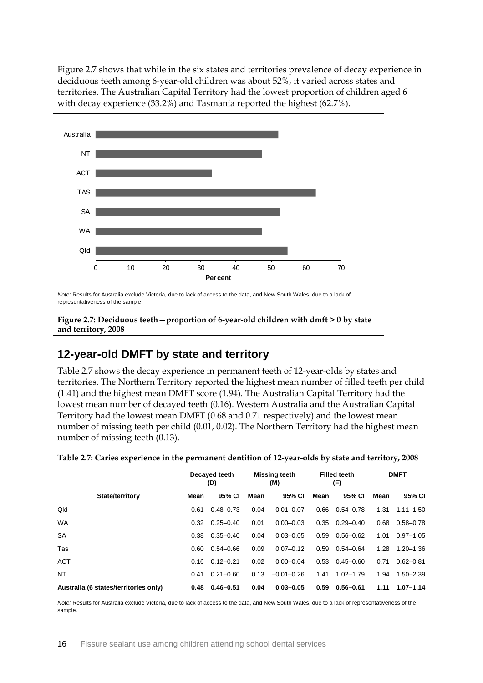Figure 2.7 shows that while in the six states and territories prevalence of decay experience in deciduous teeth among 6-year-old children was about 52%, it varied across states and territories. The Australian Capital Territory had the lowest proportion of children aged 6 with decay experience (33.2%) and Tasmania reported the highest (62.7%).



## <span id="page-24-1"></span>**12-year-old DMFT by state and territory**

Table 2.7 shows the decay experience in permanent teeth of 12-year-olds by states and territories. The Northern Territory reported the highest mean number of filled teeth per child (1.41) and the highest mean DMFT score (1.94). The Australian Capital Territory had the lowest mean number of decayed teeth (0.16). Western Australia and the Australian Capital Territory had the lowest mean DMFT (0.68 and 0.71 respectively) and the lowest mean number of missing teeth per child (0.01, 0.02). The Northern Territory had the highest mean number of missing teeth (0.13).

|                                       | Decayed teeth<br>(D) |               | <b>Missing teeth</b><br>(M) |                | <b>Filled teeth</b><br>(F) |               | <b>DMFT</b> |               |
|---------------------------------------|----------------------|---------------|-----------------------------|----------------|----------------------------|---------------|-------------|---------------|
| State/territory                       | Mean                 | 95% CI        | Mean                        | 95% CI         | Mean                       | 95% CI        | Mean        | 95% CI        |
| Qld                                   | 0.61                 | $0.48 - 0.73$ | 0.04                        | $0.01 - 0.07$  | 0.66                       | $0.54 - 0.78$ | 1.31        | $1.11 - 1.50$ |
| <b>WA</b>                             | 0.32                 | $0.25 - 0.40$ | 0.01                        | $0.00 - 0.03$  | 0.35                       | $0.29 - 0.40$ | 0.68        | $0.58 - 0.78$ |
| <b>SA</b>                             | 0.38                 | $0.35 - 0.40$ | 0.04                        | $0.03 - 0.05$  | 0.59                       | $0.56 - 0.62$ | 1.01        | $0.97 - 1.05$ |
| Tas                                   | 0.60                 | $0.54 - 0.66$ | 0.09                        | $0.07 - 0.12$  | 0.59                       | $0.54 - 0.64$ | 1.28        | $1.20 - 1.36$ |
| <b>ACT</b>                            | 0.16                 | $0.12 - 0.21$ | 0.02                        | $0.00 - 0.04$  | 0.53                       | $0.45 - 0.60$ | 0.71        | $0.62 - 0.81$ |
| <b>NT</b>                             | 0.41                 | $0.21 - 0.60$ | 0.13                        | $-0.01 - 0.26$ | 1.41                       | $1.02 - 1.79$ | 1.94        | $1.50 - 2.39$ |
| Australia (6 states/territories only) | 0.48                 | $0.46 - 0.51$ | 0.04                        | $0.03 - 0.05$  | 0.59                       | $0.56 - 0.61$ | 1.11        | $1.07 - 1.14$ |

<span id="page-24-0"></span>

|  |  | Table 2.7: Caries experience in the permanent dentition of 12-year-olds by state and territory, 2008 |
|--|--|------------------------------------------------------------------------------------------------------|
|  |  |                                                                                                      |

*Note:* Results for Australia exclude Victoria, due to lack of access to the data, and New South Wales, due to a lack of representativeness of the sample.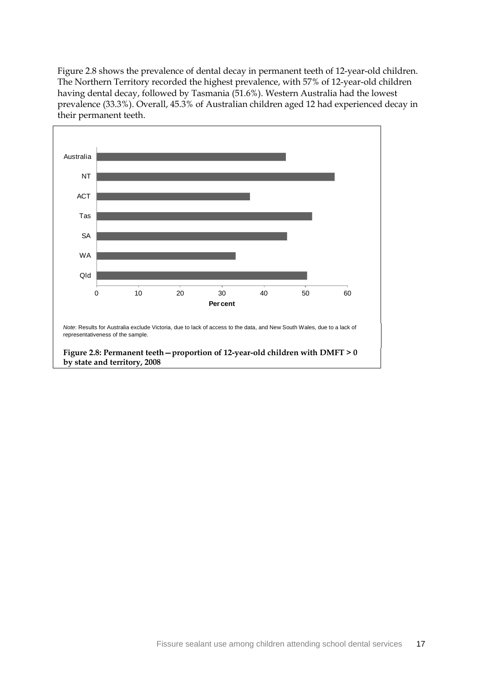Figure 2.8 shows the prevalence of dental decay in permanent teeth of 12-year-old children. The Northern Territory recorded the highest prevalence, with 57% of 12-year-old children having dental decay, followed by Tasmania (51.6%). Western Australia had the lowest prevalence (33.3%). Overall, 45.3% of Australian children aged 12 had experienced decay in their permanent teeth.

<span id="page-25-0"></span>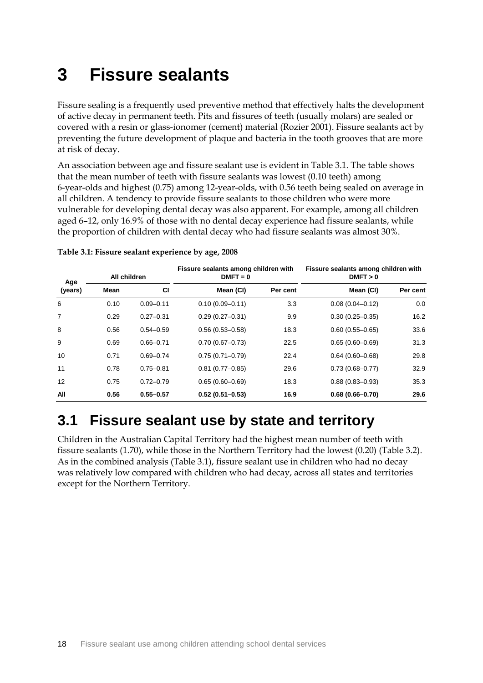# **3 Fissure sealants**

Fissure sealing is a frequently used preventive method that effectively halts the development of active decay in permanent teeth. Pits and fissures of teeth (usually molars) are sealed or covered with a resin or glass-ionomer (cement) material (Rozier 2001). Fissure sealants act by preventing the future development of plaque and bacteria in the tooth grooves that are more at risk of decay.

An association between age and fissure sealant use is evident in Table 3.1. The table shows that the mean number of teeth with fissure sealants was lowest (0.10 teeth) among 6-year-olds and highest (0.75) among 12-year-olds, with 0.56 teeth being sealed on average in all children. A tendency to provide fissure sealants to those children who were more vulnerable for developing dental decay was also apparent. For example, among all children aged 6–12, only 16.9% of those with no dental decay experience had fissure sealants, while the proportion of children with dental decay who had fissure sealants was almost 30%.

| Age     | All children |               | Fissure sealants among children with<br>$DMFT = 0$ |          | Fissure sealants among children with<br>DMFT > 0 |          |  |
|---------|--------------|---------------|----------------------------------------------------|----------|--------------------------------------------------|----------|--|
| (years) | Mean         | <b>CI</b>     | Mean (CI)                                          | Per cent | Mean (CI)                                        | Per cent |  |
| 6       | 0.10         | $0.09 - 0.11$ | $0.10(0.09 - 0.11)$                                | 3.3      | $0.08(0.04 - 0.12)$                              | 0.0      |  |
| 7       | 0.29         | $0.27 - 0.31$ | $0.29(0.27 - 0.31)$                                | 9.9      | $0.30(0.25 - 0.35)$                              | 16.2     |  |
| 8       | 0.56         | $0.54 - 0.59$ | $0.56(0.53 - 0.58)$                                | 18.3     | $0.60(0.55 - 0.65)$                              | 33.6     |  |
| 9       | 0.69         | $0.66 - 0.71$ | $0.70(0.67 - 0.73)$                                | 22.5     | $0.65(0.60 - 0.69)$                              | 31.3     |  |
| 10      | 0.71         | $0.69 - 0.74$ | $0.75(0.71 - 0.79)$                                | 22.4     | $0.64(0.60 - 0.68)$                              | 29.8     |  |
| 11      | 0.78         | $0.75 - 0.81$ | $0.81(0.77-0.85)$                                  | 29.6     | $0.73(0.68 - 0.77)$                              | 32.9     |  |
| 12      | 0.75         | $0.72 - 0.79$ | $0.65(0.60 - 0.69)$                                | 18.3     | $0.88(0.83 - 0.93)$                              | 35.3     |  |
| All     | 0.56         | $0.55 - 0.57$ | $0.52(0.51 - 0.53)$                                | 16.9     | $0.68(0.66 - 0.70)$                              | 29.6     |  |

<span id="page-26-0"></span>**Table 3.1: Fissure sealant experience by age, 2008** 

## **3.1 Fissure sealant use by state and territory**

Children in the Australian Capital Territory had the highest mean number of teeth with fissure sealants (1.70), while those in the Northern Territory had the lowest (0.20) (Table 3.2). As in the combined analysis (Table 3.1), fissure sealant use in children who had no decay was relatively low compared with children who had decay, across all states and territories except for the Northern Territory.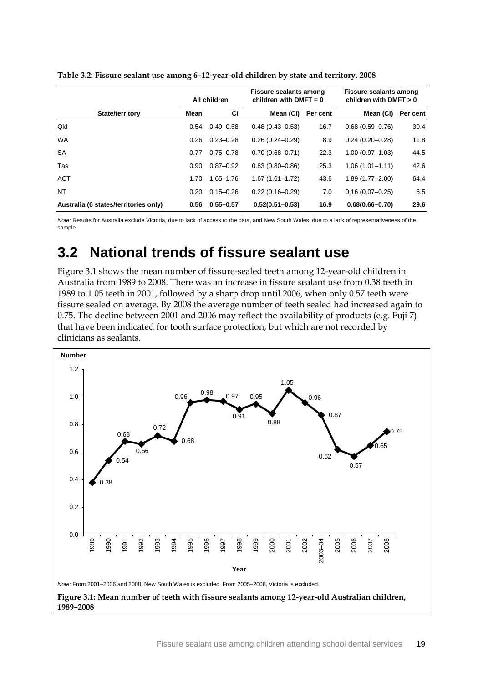|                                       | All children |               | <b>Fissure sealants among</b><br>children with DMFT = $0$ |          | Fissure sealants among<br>children with DMFT $> 0$ |          |  |
|---------------------------------------|--------------|---------------|-----------------------------------------------------------|----------|----------------------------------------------------|----------|--|
| <b>State/territory</b>                | Mean         | <b>CI</b>     | Mean (CI)                                                 | Per cent | Mean (CI)                                          | Per cent |  |
| Qld                                   | 0.54         | $0.49 - 0.58$ | $0.48(0.43 - 0.53)$                                       | 16.7     | $0.68(0.59 - 0.76)$                                | 30.4     |  |
| <b>WA</b>                             | 0.26         | $0.23 - 0.28$ | $0.26(0.24 - 0.29)$                                       | 8.9      | $0.24(0.20 - 0.28)$                                | 11.8     |  |
| <b>SA</b>                             | 0.77         | $0.75 - 0.78$ | $0.70(0.68 - 0.71)$                                       | 22.3     | $1.00(0.97 - 1.03)$                                | 44.5     |  |
| Tas                                   | 0.90         | $0.87 - 0.92$ | $0.83(0.80 - 0.86)$                                       | 25.3     | $1.06(1.01 - 1.11)$                                | 42.6     |  |
| <b>ACT</b>                            | 1.70         | $1.65 - 1.76$ | $1.67(1.61 - 1.72)$                                       | 43.6     | $1.89(1.77 - 2.00)$                                | 64.4     |  |
| NT                                    | 0.20         | $0.15 - 0.26$ | $0.22(0.16 - 0.29)$                                       | 7.0      | $0.16(0.07 - 0.25)$                                | 5.5      |  |
| Australia (6 states/territories only) | 0.56         | $0.55 - 0.57$ | $0.52(0.51 - 0.53)$                                       | 16.9     | $0.68(0.66 - 0.70)$                                | 29.6     |  |

<span id="page-27-0"></span>**Table 3.2: Fissure sealant use among 6–12-year-old children by state and territory, 2008**

*Note:* Results for Australia exclude Victoria, due to lack of access to the data, and New South Wales, due to a lack of representativeness of the sample.

## **3.2 National trends of fissure sealant use**

Figure 3.1 shows the mean number of fissure-sealed teeth among 12-year-old children in Australia from 1989 to 2008. There was an increase in fissure sealant use from 0.38 teeth in 1989 to 1.05 teeth in 2001, followed by a sharp drop until 2006, when only 0.57 teeth were fissure sealed on average. By 2008 the average number of teeth sealed had increased again to 0.75. The decline between 2001 and 2006 may reflect the availability of products (e.g. Fuji 7) that have been indicated for tooth surface protection, but which are not recorded by clinicians as sealants.

<span id="page-27-1"></span>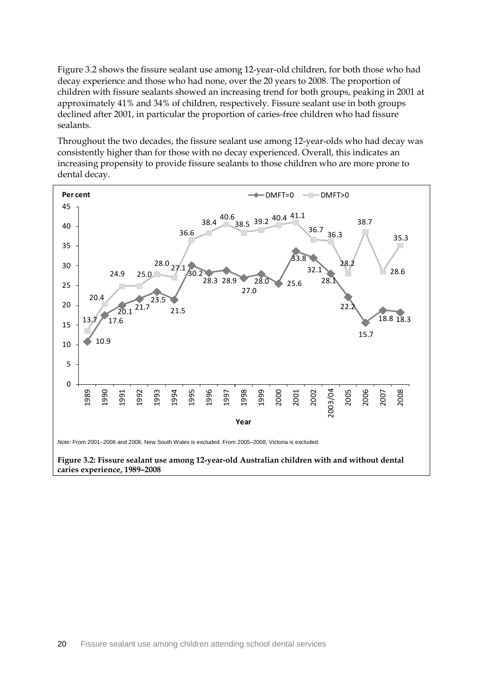Figure 3.2 shows the fissure sealant use among 12-year-old children, for both those who had decay experience and those who had none, over the 20 years to 2008. The proportion of children with fissure sealants showed an increasing trend for both groups, peaking in 2001 at approximately 41% and 34% of children, respectively. Fissure sealant use in both groups declined after 2001, in particular the proportion of caries-free children who had fissure sealants.

Throughout the two decades, the fissure sealant use among 12-year-olds who had decay was consistently higher than for those with no decay experienced. Overall, this indicates an increasing propensity to provide fissure sealants to those children who are more prone to dental decay.

<span id="page-28-0"></span>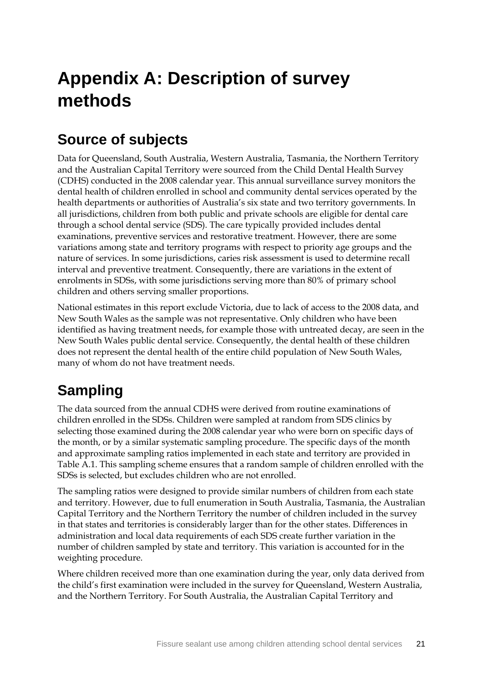# **Appendix A: Description of survey methods**

# **Source of subjects**

Data for Queensland, South Australia, Western Australia, Tasmania, the Northern Territory and the Australian Capital Territory were sourced from the Child Dental Health Survey (CDHS) conducted in the 2008 calendar year. This annual surveillance survey monitors the dental health of children enrolled in school and community dental services operated by the health departments or authorities of Australia's six state and two territory governments. In all jurisdictions, children from both public and private schools are eligible for dental care through a school dental service (SDS). The care typically provided includes dental examinations, preventive services and restorative treatment. However, there are some variations among state and territory programs with respect to priority age groups and the nature of services. In some jurisdictions, caries risk assessment is used to determine recall interval and preventive treatment. Consequently, there are variations in the extent of enrolments in SDSs, with some jurisdictions serving more than 80% of primary school children and others serving smaller proportions.

National estimates in this report exclude Victoria, due to lack of access to the 2008 data, and New South Wales as the sample was not representative. Only children who have been identified as having treatment needs, for example those with untreated decay, are seen in the New South Wales public dental service. Consequently, the dental health of these children does not represent the dental health of the entire child population of New South Wales, many of whom do not have treatment needs.

# **Sampling**

The data sourced from the annual CDHS were derived from routine examinations of children enrolled in the SDSs. Children were sampled at random from SDS clinics by selecting those examined during the 2008 calendar year who were born on specific days of the month, or by a similar systematic sampling procedure. The specific days of the month and approximate sampling ratios implemented in each state and territory are provided in Table A.1. This sampling scheme ensures that a random sample of children enrolled with the SDSs is selected, but excludes children who are not enrolled.

The sampling ratios were designed to provide similar numbers of children from each state and territory. However, due to full enumeration in South Australia, Tasmania, the Australian Capital Territory and the Northern Territory the number of children included in the survey in that states and territories is considerably larger than for the other states. Differences in administration and local data requirements of each SDS create further variation in the number of children sampled by state and territory. This variation is accounted for in the weighting procedure.

Where children received more than one examination during the year, only data derived from the child's first examination were included in the survey for Queensland, Western Australia, and the Northern Territory. For South Australia, the Australian Capital Territory and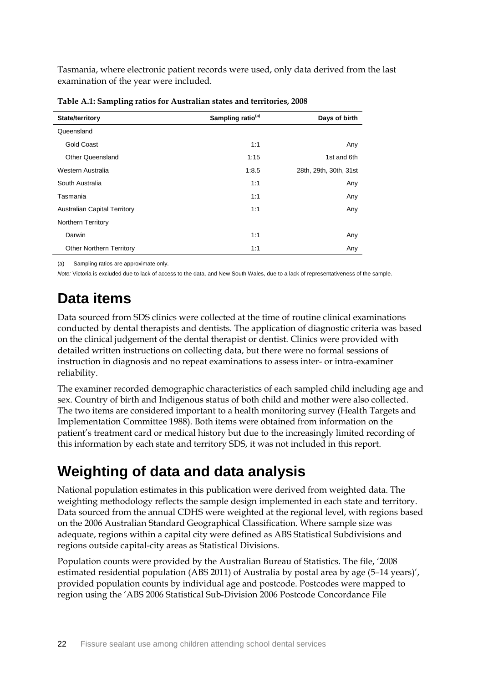Tasmania, where electronic patient records were used, only data derived from the last examination of the year were included.

| State/territory                     | Sampling ratio <sup>(a)</sup> | Days of birth          |
|-------------------------------------|-------------------------------|------------------------|
| Queensland                          |                               |                        |
| <b>Gold Coast</b>                   | 1:1                           | Any                    |
| Other Queensland                    | 1:15                          | 1st and 6th            |
| Western Australia                   | 1:8.5                         | 28th, 29th, 30th, 31st |
| South Australia                     | 1:1                           | Any                    |
| Tasmania                            | 1:1                           | Any                    |
| <b>Australian Capital Territory</b> | 1:1                           | Any                    |
| <b>Northern Territory</b>           |                               |                        |
| Darwin                              | 1:1                           | Any                    |
| <b>Other Northern Territory</b>     | 1:1                           | Any                    |

<span id="page-30-0"></span>**Table A.1: Sampling ratios for Australian states and territories, 2008** 

(a) Sampling ratios are approximate only.

*Note:* Victoria is excluded due to lack of access to the data, and New South Wales, due to a lack of representativeness of the sample.

# **Data items**

Data sourced from SDS clinics were collected at the time of routine clinical examinations conducted by dental therapists and dentists. The application of diagnostic criteria was based on the clinical judgement of the dental therapist or dentist. Clinics were provided with detailed written instructions on collecting data, but there were no formal sessions of instruction in diagnosis and no repeat examinations to assess inter- or intra-examiner reliability.

The examiner recorded demographic characteristics of each sampled child including age and sex. Country of birth and Indigenous status of both child and mother were also collected. The two items are considered important to a health monitoring survey (Health Targets and Implementation Committee 1988). Both items were obtained from information on the patient's treatment card or medical history but due to the increasingly limited recording of this information by each state and territory SDS, it was not included in this report.

# **Weighting of data and data analysis**

National population estimates in this publication were derived from weighted data. The weighting methodology reflects the sample design implemented in each state and territory. Data sourced from the annual CDHS were weighted at the regional level, with regions based on the 2006 Australian Standard Geographical Classification. Where sample size was adequate, regions within a capital city were defined as ABS Statistical Subdivisions and regions outside capital-city areas as Statistical Divisions.

Population counts were provided by the Australian Bureau of Statistics. The file, '2008 estimated residential population (ABS 2011) of Australia by postal area by age (5–14 years)', provided population counts by individual age and postcode. Postcodes were mapped to region using the 'ABS 2006 Statistical Sub-Division 2006 Postcode Concordance File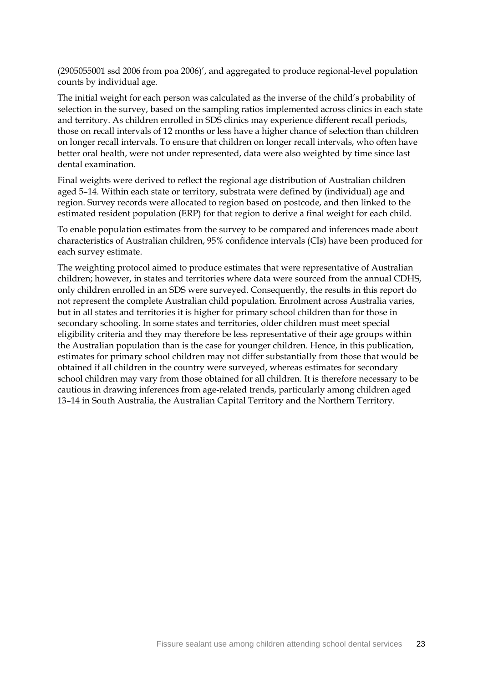(2905055001 ssd 2006 from poa 2006)', and aggregated to produce regional-level population counts by individual age.

The initial weight for each person was calculated as the inverse of the child's probability of selection in the survey, based on the sampling ratios implemented across clinics in each state and territory. As children enrolled in SDS clinics may experience different recall periods, those on recall intervals of 12 months or less have a higher chance of selection than children on longer recall intervals. To ensure that children on longer recall intervals, who often have better oral health, were not under represented, data were also weighted by time since last dental examination.

Final weights were derived to reflect the regional age distribution of Australian children aged 5–14. Within each state or territory, substrata were defined by (individual) age and region. Survey records were allocated to region based on postcode, and then linked to the estimated resident population (ERP) for that region to derive a final weight for each child.

To enable population estimates from the survey to be compared and inferences made about characteristics of Australian children, 95% confidence intervals (CIs) have been produced for each survey estimate.

The weighting protocol aimed to produce estimates that were representative of Australian children; however, in states and territories where data were sourced from the annual CDHS, only children enrolled in an SDS were surveyed. Consequently, the results in this report do not represent the complete Australian child population. Enrolment across Australia varies, but in all states and territories it is higher for primary school children than for those in secondary schooling. In some states and territories, older children must meet special eligibility criteria and they may therefore be less representative of their age groups within the Australian population than is the case for younger children. Hence, in this publication, estimates for primary school children may not differ substantially from those that would be obtained if all children in the country were surveyed, whereas estimates for secondary school children may vary from those obtained for all children. It is therefore necessary to be cautious in drawing inferences from age-related trends, particularly among children aged 13–14 in South Australia, the Australian Capital Territory and the Northern Territory.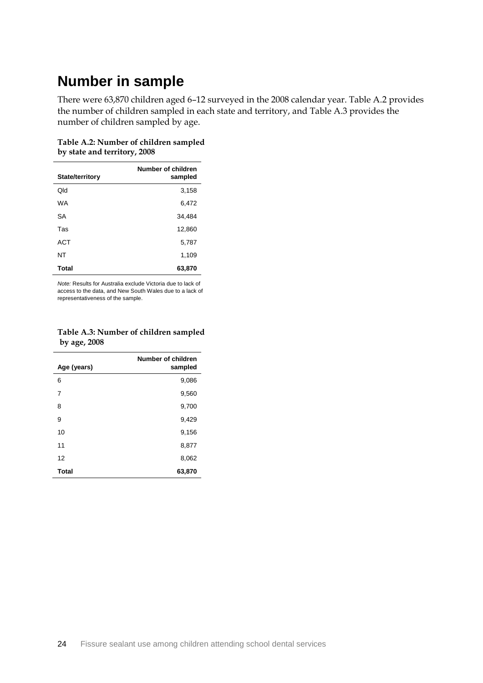## **Number in sample**

There were 63,870 children aged 6–12 surveyed in the 2008 calendar year. Table A.2 provides the number of children sampled in each state and territory, and Table A.3 provides the number of children sampled by age.

<span id="page-32-0"></span>**Table A.2: Number of children sampled by state and territory, 2008**

| State/territory | Number of children<br>sampled |
|-----------------|-------------------------------|
|                 |                               |
| Old             | 3,158                         |
| <b>WA</b>       | 6,472                         |
| SA              | 34,484                        |
| Tas             | 12,860                        |
| <b>ACT</b>      | 5,787                         |
| NΤ              | 1,109                         |
| Total           | 63,870                        |

*Note:* Results for Australia exclude Victoria due to lack of access to the data, and New South Wales due to a lack of representativeness of the sample.

<span id="page-32-1"></span>

|              | Table A.3: Number of children sampled |
|--------------|---------------------------------------|
| by age, 2008 |                                       |

| Age (years)  | Number of children<br>sampled |
|--------------|-------------------------------|
| 6            | 9,086                         |
| 7            | 9,560                         |
| 8            | 9,700                         |
| 9            | 9,429                         |
| 10           | 9,156                         |
| 11           | 8,877                         |
| 12           | 8,062                         |
| <b>Total</b> | 63,870                        |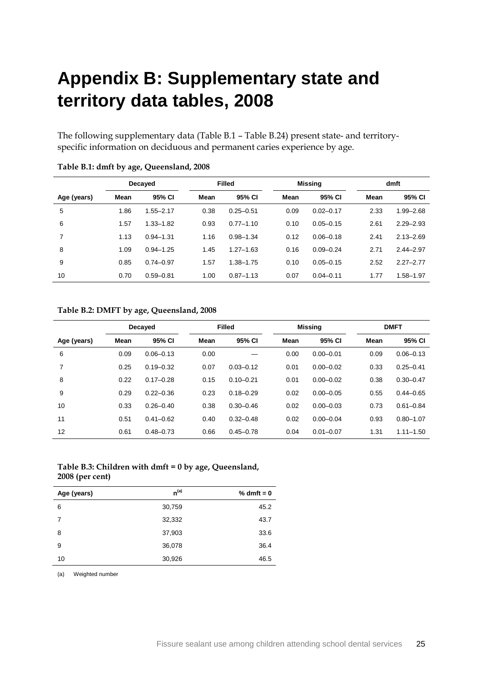# **Appendix B: Supplementary state and territory data tables, 2008**

The following supplementary data (Table B.1 – Table B.24) present state- and territoryspecific information on deciduous and permanent caries experience by age.

|             |      | Decayed       | <b>Filled</b> |               |      | <b>Missing</b> | dmft |               |
|-------------|------|---------------|---------------|---------------|------|----------------|------|---------------|
| Age (years) | Mean | 95% CI        | Mean          | 95% CI        | Mean | 95% CI         | Mean | 95% CI        |
| 5           | 1.86 | $1.55 - 2.17$ | 0.38          | $0.25 - 0.51$ | 0.09 | $0.02 - 0.17$  | 2.33 | $1.99 - 2.68$ |
| 6           | 1.57 | $1.33 - 1.82$ | 0.93          | $0.77 - 1.10$ | 0.10 | $0.05 - 0.15$  | 2.61 | $2.29 - 2.93$ |
| 7           | 1.13 | $0.94 - 1.31$ | 1.16          | $0.98 - 1.34$ | 0.12 | $0.06 - 0.18$  | 2.41 | $2.13 - 2.69$ |
| 8           | 1.09 | $0.94 - 1.25$ | 1.45          | $1.27 - 1.63$ | 0.16 | $0.09 - 0.24$  | 2.71 | $2.44 - 2.97$ |
| 9           | 0.85 | $0.74 - 0.97$ | 1.57          | $1.38 - 1.75$ | 0.10 | $0.05 - 0.15$  | 2.52 | $2.27 - 2.77$ |
| 10          | 0.70 | $0.59 - 0.81$ | 1.00          | $0.87 - 1.13$ | 0.07 | $0.04 - 0.11$  | 1.77 | 1.58-1.97     |

#### <span id="page-33-0"></span>**Table B.1: dmft by age, Queensland, 2008**

#### <span id="page-33-1"></span>**Table B.2: DMFT by age, Queensland, 2008**

|             |      | Decayed       | <b>Filled</b> |               |      | <b>Missing</b> |      | <b>DMFT</b>   |  |
|-------------|------|---------------|---------------|---------------|------|----------------|------|---------------|--|
| Age (years) | Mean | 95% CI        | Mean          | 95% CI        | Mean | 95% CI         | Mean | 95% CI        |  |
| 6           | 0.09 | $0.06 - 0.13$ | 0.00          |               | 0.00 | $0.00 - 0.01$  | 0.09 | $0.06 - 0.13$ |  |
| 7           | 0.25 | $0.19 - 0.32$ | 0.07          | $0.03 - 0.12$ | 0.01 | $0.00 - 0.02$  | 0.33 | $0.25 - 0.41$ |  |
| 8           | 0.22 | $0.17 - 0.28$ | 0.15          | $0.10 - 0.21$ | 0.01 | $0.00 - 0.02$  | 0.38 | $0.30 - 0.47$ |  |
| 9           | 0.29 | $0.22 - 0.36$ | 0.23          | $0.18 - 0.29$ | 0.02 | $0.00 - 0.05$  | 0.55 | $0.44 - 0.65$ |  |
| 10          | 0.33 | $0.26 - 0.40$ | 0.38          | $0.30 - 0.46$ | 0.02 | $0.00 - 0.03$  | 0.73 | $0.61 - 0.84$ |  |
| 11          | 0.51 | $0.41 - 0.62$ | 0.40          | $0.32 - 0.48$ | 0.02 | $0.00 - 0.04$  | 0.93 | $0.80 - 1.07$ |  |
| 12          | 0.61 | $0.48 - 0.73$ | 0.66          | $0.45 - 0.78$ | 0.04 | $0.01 - 0.07$  | 1.31 | $1.11 - 1.50$ |  |

#### <span id="page-33-2"></span>**Table B.3: Children with dmft = 0 by age, Queensland, 2008 (per cent)**

| Age (years) | $n^{(a)}$ | $% dmft = 0$ |
|-------------|-----------|--------------|
| 6           | 30,759    | 45.2         |
| 7           | 32,332    | 43.7         |
| 8           | 37,903    | 33.6         |
| 9           | 36,078    | 36.4         |
| 10          | 30,926    | 46.5         |

(a) Weighted number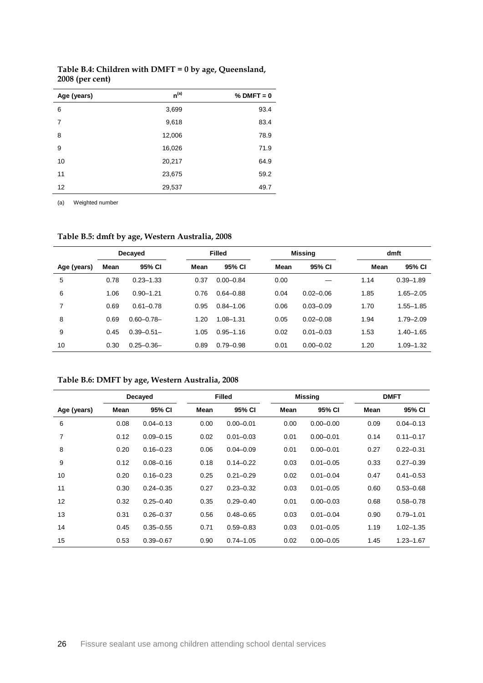| Age (years) | $n^{(a)}$ | $%$ DMFT = 0 |
|-------------|-----------|--------------|
| 6           | 3,699     | 93.4         |
| 7           | 9,618     | 83.4         |
| 8           | 12,006    | 78.9         |
| 9           | 16,026    | 71.9         |
| 10          | 20,217    | 64.9         |
| 11          | 23,675    | 59.2         |
| 12          | 29,537    | 49.7         |

<span id="page-34-0"></span>**Table B.4: Children with DMFT = 0 by age, Queensland, 2008 (per cent)**

(a) Weighted number

<span id="page-34-1"></span>**Table B.5: dmft by age, Western Australia, 2008**

|             | Decayed |                 |      | <b>Filled</b> |      | <b>Missing</b> |      | dmft          |  |
|-------------|---------|-----------------|------|---------------|------|----------------|------|---------------|--|
| Age (years) | Mean    | 95% CI          | Mean | 95% CI        | Mean | 95% CI         | Mean | 95% CI        |  |
| 5           | 0.78    | $0.23 - 1.33$   | 0.37 | $0.00 - 0.84$ | 0.00 |                | 1.14 | $0.39 - 1.89$ |  |
| 6           | 1.06    | $0.90 - 1.21$   | 0.76 | $0.64 - 0.88$ | 0.04 | $0.02 - 0.06$  | 1.85 | $1.65 - 2.05$ |  |
| 7           | 0.69    | $0.61 - 0.78$   | 0.95 | $0.84 - 1.06$ | 0.06 | $0.03 - 0.09$  | 1.70 | $1.55 - 1.85$ |  |
| 8           | 0.69    | $0.60 - 0.78 -$ | 1.20 | $1.08 - 1.31$ | 0.05 | $0.02 - 0.08$  | 1.94 | $1.79 - 2.09$ |  |
| 9           | 0.45    | $0.39 - 0.51 -$ | 1.05 | $0.95 - 1.16$ | 0.02 | $0.01 - 0.03$  | 1.53 | $1.40 - 1.65$ |  |
| 10          | 0.30    | $0.25 - 0.36 -$ | 0.89 | $0.79 - 0.98$ | 0.01 | $0.00 - 0.02$  | 1.20 | $1.09 - 1.32$ |  |

### <span id="page-34-2"></span>**Table B.6: DMFT by age, Western Australia, 2008**

|             |      | Decayed       |      | <b>Filled</b> |      | <b>Missing</b> |      | <b>DMFT</b>   |
|-------------|------|---------------|------|---------------|------|----------------|------|---------------|
| Age (years) | Mean | 95% CI        | Mean | 95% CI        | Mean | 95% CI         | Mean | 95% CI        |
| 6           | 0.08 | $0.04 - 0.13$ | 0.00 | $0.00 - 0.01$ | 0.00 | $0.00 - 0.00$  | 0.09 | $0.04 - 0.13$ |
| 7           | 0.12 | $0.09 - 0.15$ | 0.02 | $0.01 - 0.03$ | 0.01 | $0.00 - 0.01$  | 0.14 | $0.11 - 0.17$ |
| 8           | 0.20 | $0.16 - 0.23$ | 0.06 | $0.04 - 0.09$ | 0.01 | $0.00 - 0.01$  | 0.27 | $0.22 - 0.31$ |
| 9           | 0.12 | $0.08 - 0.16$ | 0.18 | $0.14 - 0.22$ | 0.03 | $0.01 - 0.05$  | 0.33 | $0.27 - 0.39$ |
| 10          | 0.20 | $0.16 - 0.23$ | 0.25 | $0.21 - 0.29$ | 0.02 | $0.01 - 0.04$  | 0.47 | $0.41 - 0.53$ |
| 11          | 0.30 | $0.24 - 0.35$ | 0.27 | $0.23 - 0.32$ | 0.03 | $0.01 - 0.05$  | 0.60 | $0.53 - 0.68$ |
| 12          | 0.32 | $0.25 - 0.40$ | 0.35 | $0.29 - 0.40$ | 0.01 | $0.00 - 0.03$  | 0.68 | $0.58 - 0.78$ |
| 13          | 0.31 | $0.26 - 0.37$ | 0.56 | $0.48 - 0.65$ | 0.03 | $0.01 - 0.04$  | 0.90 | $0.79 - 1.01$ |
| 14          | 0.45 | $0.35 - 0.55$ | 0.71 | $0.59 - 0.83$ | 0.03 | $0.01 - 0.05$  | 1.19 | $1.02 - 1.35$ |
| 15          | 0.53 | $0.39 - 0.67$ | 0.90 | $0.74 - 1.05$ | 0.02 | $0.00 - 0.05$  | 1.45 | $1.23 - 1.67$ |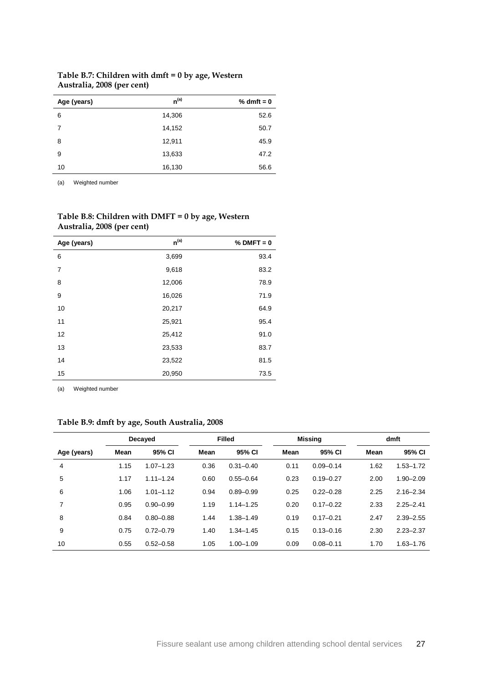| Age (years) | $n^{(a)}$ | % dmft = $0$ |
|-------------|-----------|--------------|
| 6           | 14,306    | 52.6         |
| 7           | 14,152    | 50.7         |
| 8           | 12,911    | 45.9         |
| 9           | 13,633    | 47.2         |
| 10          | 16,130    | 56.6         |

### <span id="page-35-0"></span>**Table B.7: Children with dmft = 0 by age, Western Australia, 2008 (per cent)**

(a) Weighted number

| Age (years) | $n^{(a)}$ | $%$ DMFT = 0 |
|-------------|-----------|--------------|
| 6           | 3,699     | 93.4         |
| 7           | 9,618     | 83.2         |
| 8           | 12,006    | 78.9         |
| 9           | 16,026    | 71.9         |
| 10          | 20,217    | 64.9         |
| 11          | 25,921    | 95.4         |
| 12          | 25,412    | 91.0         |
| 13          | 23,533    | 83.7         |
| 14          | 23,522    | 81.5         |
| 15          | 20,950    | 73.5         |

#### <span id="page-35-1"></span>**Table B.8: Children with DMFT = 0 by age, Western Australia, 2008 (per cent)**

(a) Weighted number

### <span id="page-35-2"></span>**Table B.9: dmft by age, South Australia, 2008**

|             |      | Decayed       |      | <b>Filled</b> |      | <b>Missina</b> |      | dmft          |
|-------------|------|---------------|------|---------------|------|----------------|------|---------------|
| Age (years) | Mean | 95% CI        | Mean | 95% CI        | Mean | 95% CI         | Mean | 95% CI        |
| 4           | 1.15 | $1.07 - 1.23$ | 0.36 | $0.31 - 0.40$ | 0.11 | $0.09 - 0.14$  | 1.62 | $1.53 - 1.72$ |
| 5           | 1.17 | $1.11 - 1.24$ | 0.60 | $0.55 - 0.64$ | 0.23 | $0.19 - 0.27$  | 2.00 | $1.90 - 2.09$ |
| 6           | 1.06 | $1.01 - 1.12$ | 0.94 | $0.89 - 0.99$ | 0.25 | $0.22 - 0.28$  | 2.25 | $2.16 - 2.34$ |
| 7           | 0.95 | $0.90 - 0.99$ | 1.19 | $1.14 - 1.25$ | 0.20 | $0.17 - 0.22$  | 2.33 | $2.25 - 2.41$ |
| 8           | 0.84 | $0.80 - 0.88$ | 1.44 | $1.38 - 1.49$ | 0.19 | $0.17 - 0.21$  | 2.47 | $2.39 - 2.55$ |
| 9           | 0.75 | $0.72 - 0.79$ | 1.40 | $1.34 - 1.45$ | 0.15 | $0.13 - 0.16$  | 2.30 | $2.23 - 2.37$ |
| 10          | 0.55 | $0.52 - 0.58$ | 1.05 | $1.00 - 1.09$ | 0.09 | $0.08 - 0.11$  | 1.70 | $1.63 - 1.76$ |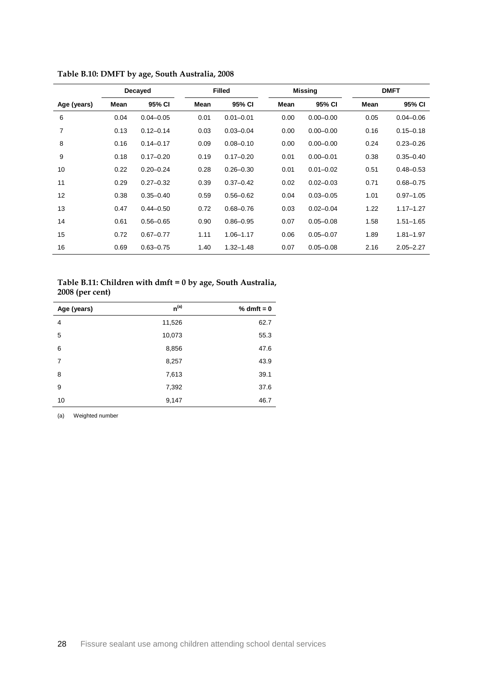|             | Decayed |               |      | <b>Filled</b> |      | <b>Missing</b> | <b>DMFT</b> |               |
|-------------|---------|---------------|------|---------------|------|----------------|-------------|---------------|
| Age (years) | Mean    | 95% CI        | Mean | 95% CI        | Mean | 95% CI         | Mean        | 95% CI        |
| 6           | 0.04    | $0.04 - 0.05$ | 0.01 | $0.01 - 0.01$ | 0.00 | $0.00 - 0.00$  | 0.05        | $0.04 - 0.06$ |
| 7           | 0.13    | $0.12 - 0.14$ | 0.03 | $0.03 - 0.04$ | 0.00 | $0.00 - 0.00$  | 0.16        | $0.15 - 0.18$ |
| 8           | 0.16    | $0.14 - 0.17$ | 0.09 | $0.08 - 0.10$ | 0.00 | $0.00 - 0.00$  | 0.24        | $0.23 - 0.26$ |
| 9           | 0.18    | $0.17 - 0.20$ | 0.19 | $0.17 - 0.20$ | 0.01 | $0.00 - 0.01$  | 0.38        | $0.35 - 0.40$ |
| 10          | 0.22    | $0.20 - 0.24$ | 0.28 | $0.26 - 0.30$ | 0.01 | $0.01 - 0.02$  | 0.51        | $0.48 - 0.53$ |
| 11          | 0.29    | $0.27 - 0.32$ | 0.39 | $0.37 - 0.42$ | 0.02 | $0.02 - 0.03$  | 0.71        | $0.68 - 0.75$ |
| 12          | 0.38    | $0.35 - 0.40$ | 0.59 | $0.56 - 0.62$ | 0.04 | $0.03 - 0.05$  | 1.01        | $0.97 - 1.05$ |
| 13          | 0.47    | $0.44 - 0.50$ | 0.72 | $0.68 - 0.76$ | 0.03 | $0.02 - 0.04$  | 1.22        | $1.17 - 1.27$ |
| 14          | 0.61    | $0.56 - 0.65$ | 0.90 | $0.86 - 0.95$ | 0.07 | $0.05 - 0.08$  | 1.58        | $1.51 - 1.65$ |
| 15          | 0.72    | $0.67 - 0.77$ | 1.11 | $1.06 - 1.17$ | 0.06 | $0.05 - 0.07$  | 1.89        | $1.81 - 1.97$ |
| 16          | 0.69    | $0.63 - 0.75$ | 1.40 | $1.32 - 1.48$ | 0.07 | $0.05 - 0.08$  | 2.16        | $2.05 - 2.27$ |

<span id="page-36-0"></span>**Table B.10: DMFT by age, South Australia, 2008**

### <span id="page-36-1"></span>**Table B.11: Children with dmft = 0 by age, South Australia, 2008 (per cent)**

| Age (years) | $n^{(a)}$ | $% dmft = 0$ |
|-------------|-----------|--------------|
| 4           | 11,526    | 62.7         |
| 5           | 10,073    | 55.3         |
| 6           | 8,856     | 47.6         |
| 7           | 8,257     | 43.9         |
| 8           | 7,613     | 39.1         |
| 9           | 7,392     | 37.6         |
| 10          | 9,147     | 46.7         |

(a) Weighted number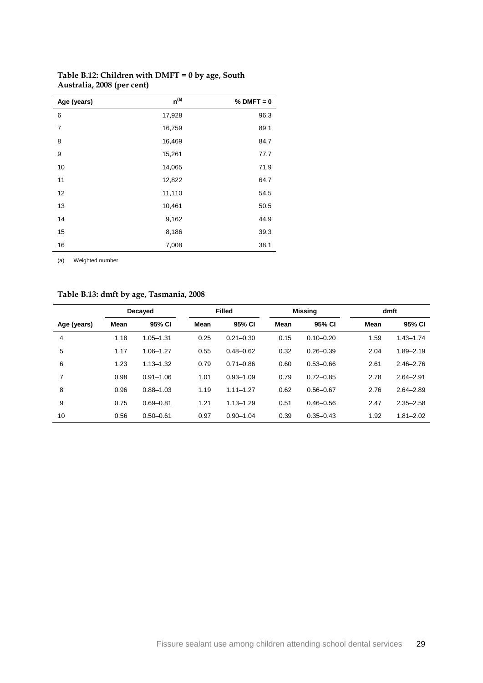| Age (years)    | $n^{(a)}$ | $%$ DMFT = 0 |
|----------------|-----------|--------------|
| 6              | 17,928    | 96.3         |
| $\overline{7}$ | 16,759    | 89.1         |
| 8              | 16,469    | 84.7         |
| 9              | 15,261    | 77.7         |
| 10             | 14,065    | 71.9         |
| 11             | 12,822    | 64.7         |
| 12             | 11,110    | 54.5         |
| 13             | 10,461    | 50.5         |
| 14             | 9,162     | 44.9         |
| 15             | 8,186     | 39.3         |
| 16             | 7,008     | 38.1         |

### <span id="page-37-0"></span>**Table B.12: Children with DMFT = 0 by age, South Australia, 2008 (per cent)**

(a) Weighted number

### <span id="page-37-1"></span>**Table B.13: dmft by age, Tasmania, 2008**

|             |      | Decayed       | <b>Filled</b> |               | Missing |               | dmft |               |
|-------------|------|---------------|---------------|---------------|---------|---------------|------|---------------|
| Age (years) | Mean | 95% CI        | Mean          | 95% CI        | Mean    | 95% CI        | Mean | 95% CI        |
| 4           | 1.18 | $1.05 - 1.31$ | 0.25          | $0.21 - 0.30$ | 0.15    | $0.10 - 0.20$ | 1.59 | $1.43 - 1.74$ |
| 5           | 1.17 | $1.06 - 1.27$ | 0.55          | $0.48 - 0.62$ | 0.32    | $0.26 - 0.39$ | 2.04 | $1.89 - 2.19$ |
| 6           | 1.23 | $1.13 - 1.32$ | 0.79          | $0.71 - 0.86$ | 0.60    | $0.53 - 0.66$ | 2.61 | $2.46 - 2.76$ |
| 7           | 0.98 | $0.91 - 1.06$ | 1.01          | $0.93 - 1.09$ | 0.79    | $0.72 - 0.85$ | 2.78 | $2.64 - 2.91$ |
| 8           | 0.96 | $0.88 - 1.03$ | 1.19          | $1.11 - 1.27$ | 0.62    | $0.56 - 0.67$ | 2.76 | $2.64 - 2.89$ |
| 9           | 0.75 | $0.69 - 0.81$ | 1.21          | $1.13 - 1.29$ | 0.51    | $0.46 - 0.56$ | 2.47 | $2.35 - 2.58$ |
| 10          | 0.56 | $0.50 - 0.61$ | 0.97          | $0.90 - 1.04$ | 0.39    | $0.35 - 0.43$ | 1.92 | $1.81 - 2.02$ |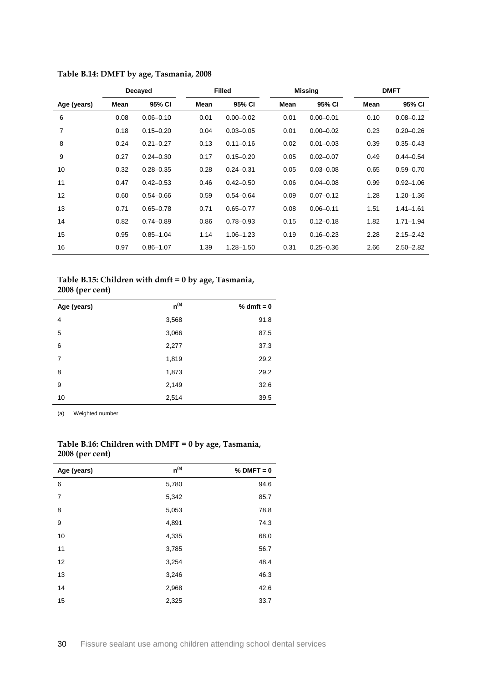|             | Decayed |               |             | <b>Filled</b> |      | <b>Missing</b> |      | <b>DMFT</b>   |
|-------------|---------|---------------|-------------|---------------|------|----------------|------|---------------|
| Age (years) | Mean    | 95% CI        | <b>Mean</b> | 95% CI        | Mean | 95% CI         | Mean | 95% CI        |
| 6           | 0.08    | $0.06 - 0.10$ | 0.01        | $0.00 - 0.02$ | 0.01 | $0.00 - 0.01$  | 0.10 | $0.08 - 0.12$ |
| 7           | 0.18    | $0.15 - 0.20$ | 0.04        | $0.03 - 0.05$ | 0.01 | $0.00 - 0.02$  | 0.23 | $0.20 - 0.26$ |
| 8           | 0.24    | $0.21 - 0.27$ | 0.13        | $0.11 - 0.16$ | 0.02 | $0.01 - 0.03$  | 0.39 | $0.35 - 0.43$ |
| 9           | 0.27    | $0.24 - 0.30$ | 0.17        | $0.15 - 0.20$ | 0.05 | $0.02 - 0.07$  | 0.49 | $0.44 - 0.54$ |
| 10          | 0.32    | $0.28 - 0.35$ | 0.28        | $0.24 - 0.31$ | 0.05 | $0.03 - 0.08$  | 0.65 | $0.59 - 0.70$ |
| 11          | 0.47    | $0.42 - 0.53$ | 0.46        | $0.42 - 0.50$ | 0.06 | $0.04 - 0.08$  | 0.99 | $0.92 - 1.06$ |
| 12          | 0.60    | $0.54 - 0.66$ | 0.59        | $0.54 - 0.64$ | 0.09 | $0.07 - 0.12$  | 1.28 | $1.20 - 1.36$ |
| 13          | 0.71    | $0.65 - 0.78$ | 0.71        | $0.65 - 0.77$ | 0.08 | $0.06 - 0.11$  | 1.51 | $1.41 - 1.61$ |
| 14          | 0.82    | $0.74 - 0.89$ | 0.86        | $0.78 - 0.93$ | 0.15 | $0.12 - 0.18$  | 1.82 | $1.71 - 1.94$ |
| 15          | 0.95    | $0.85 - 1.04$ | 1.14        | $1.06 - 1.23$ | 0.19 | $0.16 - 0.23$  | 2.28 | $2.15 - 2.42$ |
| 16          | 0.97    | $0.86 - 1.07$ | 1.39        | $1.28 - 1.50$ | 0.31 | $0.25 - 0.36$  | 2.66 | $2.50 - 2.82$ |

<span id="page-38-0"></span>

| Table B.14: DMFT by age, Tasmania, 2008 |  |  |  |
|-----------------------------------------|--|--|--|
|-----------------------------------------|--|--|--|

#### <span id="page-38-1"></span>**Table B.15: Children with dmft = 0 by age, Tasmania, 2008 (per cent)**

| $\sim$<br>$\cdot$ |           |              |
|-------------------|-----------|--------------|
| Age (years)       | $n^{(a)}$ | % dmft = $0$ |
| 4                 | 3,568     | 91.8         |
| 5                 | 3,066     | 87.5         |
| 6                 | 2,277     | 37.3         |
| 7                 | 1,819     | 29.2         |
| 8                 | 1,873     | 29.2         |
| 9                 | 2,149     | 32.6         |
| 10                | 2,514     | 39.5         |

(a) Weighted number

l,

| Age (years)    | $n^{(a)}$ | $%$ DMFT = 0 |
|----------------|-----------|--------------|
| 6              | 5,780     | 94.6         |
| $\overline{7}$ | 5,342     | 85.7         |
| 8              | 5,053     | 78.8         |
| 9              | 4,891     | 74.3         |
| 10             | 4,335     | 68.0         |
| 11             | 3,785     | 56.7         |
| 12             | 3,254     | 48.4         |
| 13             | 3,246     | 46.3         |
| 14             | 2,968     | 42.6         |
| 15             | 2,325     | 33.7         |

#### <span id="page-38-2"></span>**Table B.16: Children with DMFT = 0 by age, Tasmania, 2008 (per cent)**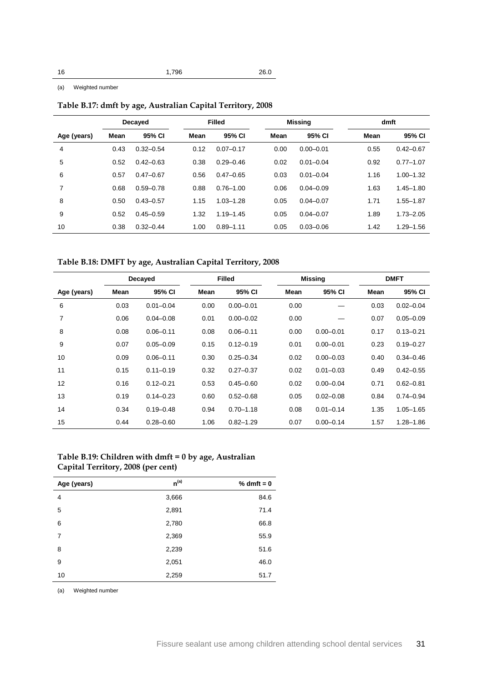(a) Weighted number

<span id="page-39-0"></span>**Table B.17: dmft by age, Australian Capital Territory, 2008**

|             | Decayed |               |      | <b>Filled</b> |      | <b>Missing</b> |      | dmft          |  |
|-------------|---------|---------------|------|---------------|------|----------------|------|---------------|--|
| Age (years) | Mean    | 95% CI        | Mean | 95% CI        | Mean | 95% CI         | Mean | 95% CI        |  |
| 4           | 0.43    | $0.32 - 0.54$ | 0.12 | $0.07 - 0.17$ | 0.00 | $0.00 - 0.01$  | 0.55 | $0.42 - 0.67$ |  |
| 5           | 0.52    | $0.42 - 0.63$ | 0.38 | $0.29 - 0.46$ | 0.02 | $0.01 - 0.04$  | 0.92 | $0.77 - 1.07$ |  |
| 6           | 0.57    | $0.47 - 0.67$ | 0.56 | $0.47 - 0.65$ | 0.03 | $0.01 - 0.04$  | 1.16 | $1.00 - 1.32$ |  |
| 7           | 0.68    | $0.59 - 0.78$ | 0.88 | $0.76 - 1.00$ | 0.06 | $0.04 - 0.09$  | 1.63 | $1.45 - 1.80$ |  |
| 8           | 0.50    | $0.43 - 0.57$ | 1.15 | $1.03 - 1.28$ | 0.05 | $0.04 - 0.07$  | 1.71 | $1.55 - 1.87$ |  |
| 9           | 0.52    | $0.45 - 0.59$ | 1.32 | $1.19 - 1.45$ | 0.05 | $0.04 - 0.07$  | 1.89 | $1.73 - 2.05$ |  |
| 10          | 0.38    | $0.32 - 0.44$ | 1.00 | $0.89 - 1.11$ | 0.05 | $0.03 - 0.06$  | 1.42 | $1.29 - 1.56$ |  |

### <span id="page-39-1"></span>**Table B.18: DMFT by age, Australian Capital Territory, 2008**

|             |      | Decayed       |      | <b>Filled</b> |      | <b>Missing</b> |      | <b>DMFT</b>   |
|-------------|------|---------------|------|---------------|------|----------------|------|---------------|
| Age (years) | Mean | 95% CI        | Mean | 95% CI        | Mean | 95% CI         | Mean | 95% CI        |
| 6           | 0.03 | $0.01 - 0.04$ | 0.00 | $0.00 - 0.01$ | 0.00 |                | 0.03 | $0.02 - 0.04$ |
| 7           | 0.06 | $0.04 - 0.08$ | 0.01 | $0.00 - 0.02$ | 0.00 |                | 0.07 | $0.05 - 0.09$ |
| 8           | 0.08 | $0.06 - 0.11$ | 0.08 | $0.06 - 0.11$ | 0.00 | $0.00 - 0.01$  | 0.17 | $0.13 - 0.21$ |
| 9           | 0.07 | $0.05 - 0.09$ | 0.15 | $0.12 - 0.19$ | 0.01 | $0.00 - 0.01$  | 0.23 | $0.19 - 0.27$ |
| 10          | 0.09 | $0.06 - 0.11$ | 0.30 | $0.25 - 0.34$ | 0.02 | $0.00 - 0.03$  | 0.40 | $0.34 - 0.46$ |
| 11          | 0.15 | $0.11 - 0.19$ | 0.32 | $0.27 - 0.37$ | 0.02 | $0.01 - 0.03$  | 0.49 | $0.42 - 0.55$ |
| 12          | 0.16 | $0.12 - 0.21$ | 0.53 | $0.45 - 0.60$ | 0.02 | $0.00 - 0.04$  | 0.71 | $0.62 - 0.81$ |
| 13          | 0.19 | $0.14 - 0.23$ | 0.60 | $0.52 - 0.68$ | 0.05 | $0.02 - 0.08$  | 0.84 | $0.74 - 0.94$ |
| 14          | 0.34 | $0.19 - 0.48$ | 0.94 | $0.70 - 1.18$ | 0.08 | $0.01 - 0.14$  | 1.35 | $1.05 - 1.65$ |
| 15          | 0.44 | $0.28 - 0.60$ | 1.06 | $0.82 - 1.29$ | 0.07 | $0.00 - 0.14$  | 1.57 | $1.28 - 1.86$ |

#### <span id="page-39-2"></span>**Table B.19: Children with dmft = 0 by age, Australian Capital Territory, 2008 (per cent)**

| Age (years) | $n^{(a)}$ | % dmft = $0$ |
|-------------|-----------|--------------|
| 4           | 3,666     | 84.6         |
| 5           | 2,891     | 71.4         |
| 6           | 2,780     | 66.8         |
| 7           | 2,369     | 55.9         |
| 8           | 2,239     | 51.6         |
| 9           | 2,051     | 46.0         |
| 10          | 2,259     | 51.7         |

(a) Weighted number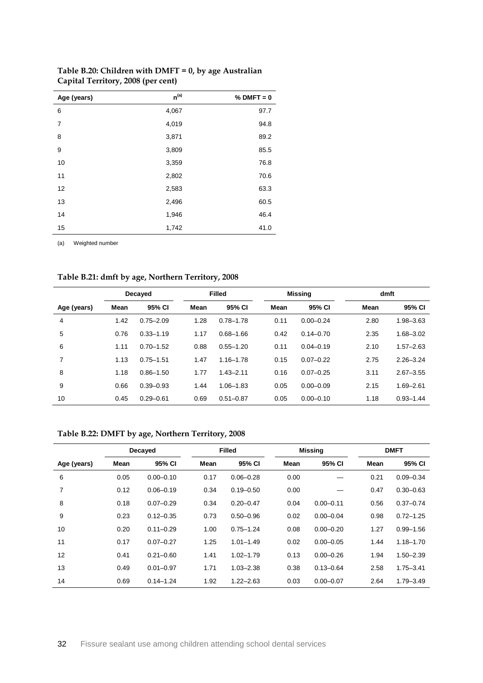| Age (years)    | $n^{(a)}$ | $%$ DMFT = 0 |
|----------------|-----------|--------------|
| 6              | 4,067     | 97.7         |
| $\overline{7}$ | 4,019     | 94.8         |
| 8              | 3,871     | 89.2         |
| 9              | 3,809     | 85.5         |
| 10             | 3,359     | 76.8         |
| 11             | 2,802     | 70.6         |
| 12             | 2,583     | 63.3         |
| 13             | 2,496     | 60.5         |
| 14             | 1,946     | 46.4         |
| 15             | 1,742     | 41.0         |

### <span id="page-40-0"></span>**Table B.20: Children with DMFT = 0, by age Australian Capital Territory, 2008 (per cent)**

(a) Weighted number

### <span id="page-40-1"></span>**Table B.21: dmft by age, Northern Territory, 2008**

|             |      | Decayed       |      | <b>Filled</b> |      | <b>Missing</b> | dmft |               |
|-------------|------|---------------|------|---------------|------|----------------|------|---------------|
| Age (years) | Mean | 95% CI        | Mean | 95% CI        | Mean | 95% CI         | Mean | 95% CI        |
| 4           | 1.42 | $0.75 - 2.09$ | 1.28 | $0.78 - 1.78$ | 0.11 | $0.00 - 0.24$  | 2.80 | 1.98-3.63     |
| 5           | 0.76 | $0.33 - 1.19$ | 1.17 | $0.68 - 1.66$ | 0.42 | $0.14 - 0.70$  | 2.35 | $1.68 - 3.02$ |
| 6           | 1.11 | $0.70 - 1.52$ | 0.88 | $0.55 - 1.20$ | 0.11 | $0.04 - 0.19$  | 2.10 | $1.57 - 2.63$ |
| 7           | 1.13 | $0.75 - 1.51$ | 1.47 | $1.16 - 1.78$ | 0.15 | $0.07 - 0.22$  | 2.75 | $2.26 - 3.24$ |
| 8           | 1.18 | $0.86 - 1.50$ | 1.77 | $1.43 - 2.11$ | 0.16 | $0.07 - 0.25$  | 3.11 | $2.67 - 3.55$ |
| 9           | 0.66 | $0.39 - 0.93$ | 1.44 | $1.06 - 1.83$ | 0.05 | $0.00 - 0.09$  | 2.15 | $1.69 - 2.61$ |
| 10          | 0.45 | $0.29 - 0.61$ | 0.69 | $0.51 - 0.87$ | 0.05 | $0.00 - 0.10$  | 1.18 | $0.93 - 1.44$ |

### <span id="page-40-2"></span>**Table B.22: DMFT by age, Northern Territory, 2008**

|             |      | Decayed       |      | <b>Filled</b> |      | <b>Missing</b> |      | <b>DMFT</b>   |
|-------------|------|---------------|------|---------------|------|----------------|------|---------------|
| Age (years) | Mean | 95% CI        | Mean | 95% CI        | Mean | 95% CI         | Mean | 95% CI        |
| 6           | 0.05 | $0.00 - 0.10$ | 0.17 | $0.06 - 0.28$ | 0.00 |                | 0.21 | $0.09 - 0.34$ |
| 7           | 0.12 | $0.06 - 0.19$ | 0.34 | $0.19 - 0.50$ | 0.00 |                | 0.47 | $0.30 - 0.63$ |
| 8           | 0.18 | $0.07 - 0.29$ | 0.34 | $0.20 - 0.47$ | 0.04 | $0.00 - 0.11$  | 0.56 | $0.37 - 0.74$ |
| 9           | 0.23 | $0.12 - 0.35$ | 0.73 | $0.50 - 0.96$ | 0.02 | $0.00 - 0.04$  | 0.98 | $0.72 - 1.25$ |
| 10          | 0.20 | $0.11 - 0.29$ | 1.00 | $0.75 - 1.24$ | 0.08 | $0.00 - 0.20$  | 1.27 | $0.99 - 1.56$ |
| 11          | 0.17 | $0.07 - 0.27$ | 1.25 | $1.01 - 1.49$ | 0.02 | $0.00 - 0.05$  | 1.44 | $1.18 - 1.70$ |
| 12          | 0.41 | $0.21 - 0.60$ | 1.41 | $1.02 - 1.79$ | 0.13 | $0.00 - 0.26$  | 1.94 | $1.50 - 2.39$ |
| 13          | 0.49 | $0.01 - 0.97$ | 1.71 | $1.03 - 2.38$ | 0.38 | $0.13 - 0.64$  | 2.58 | $1.75 - 3.41$ |
| 14          | 0.69 | $0.14 - 1.24$ | 1.92 | $1.22 - 2.63$ | 0.03 | $0.00 - 0.07$  | 2.64 | $1.79 - 3.49$ |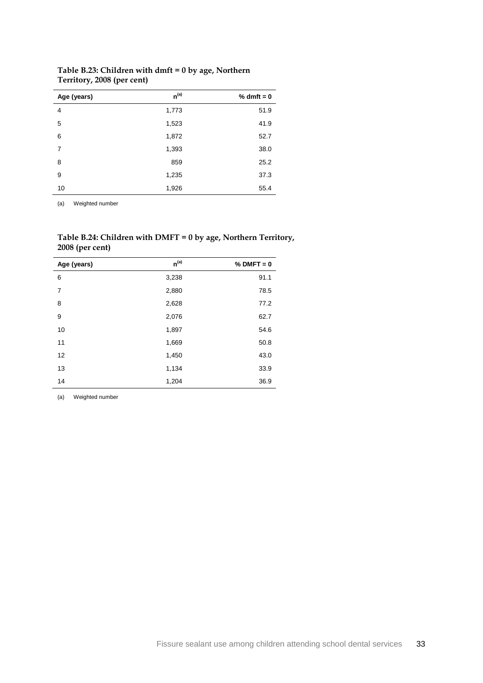| Age (years) | $n^{(a)}$ | % dmft = $0$ |
|-------------|-----------|--------------|
| 4           | 1,773     | 51.9         |
| 5           | 1,523     | 41.9         |
| 6           | 1,872     | 52.7         |
| 7           | 1,393     | 38.0         |
| 8           | 859       | 25.2         |
| 9           | 1,235     | 37.3         |
| 10          | 1,926     | 55.4         |

<span id="page-41-0"></span>**Table B.23: Children with dmft = 0 by age, Northern Territory, 2008 (per cent)**

(a) Weighted number

<span id="page-41-1"></span>**Table B.24: Children with DMFT = 0 by age, Northern Territory, 2008 (per cent)**

| Age (years) | $n^{(a)}$ | $%$ DMFT = 0 |
|-------------|-----------|--------------|
| 6           | 3,238     | 91.1         |
| 7           | 2,880     | 78.5         |
| 8           | 2,628     | 77.2         |
| 9           | 2,076     | 62.7         |
| 10          | 1,897     | 54.6         |
| 11          | 1,669     | 50.8         |
| 12          | 1,450     | 43.0         |
| 13          | 1,134     | 33.9         |
| 14          | 1,204     | 36.9         |

(a) Weighted number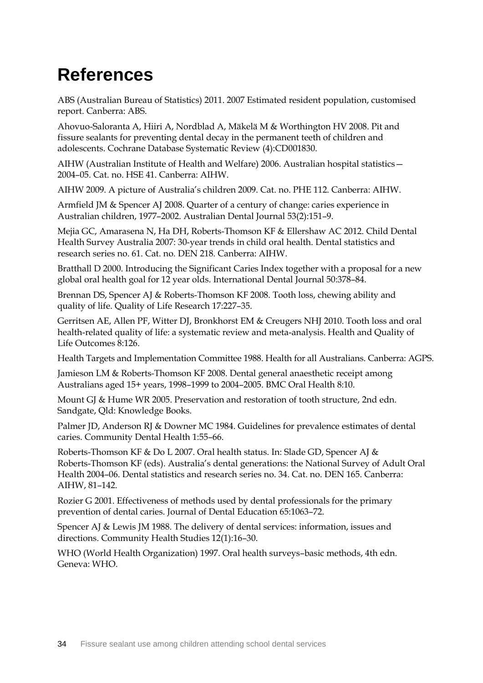# **References**

ABS (Australian Bureau of Statistics) 2011. 2007 Estimated resident population, customised report. Canberra: ABS.

Ahovuo-Saloranta A, Hiiri A, Nordblad A, Mäkelä M & Worthington HV 2008. Pit and fissure sealants for preventing dental decay in the permanent teeth of children and adolescents. Cochrane Database Systematic Review (4):CD001830.

AIHW (Australian Institute of Health and Welfare) 2006. Australian hospital statistics— 2004–05. Cat. no. HSE 41. Canberra: AIHW.

AIHW 2009. A picture of Australia's children 2009. Cat. no. PHE 112. Canberra: AIHW.

Armfield JM & Spencer AJ 2008. Quarter of a century of change: caries experience in Australian children, 1977–2002. Australian [Dental Journal](javascript:AL_get(this,%20) 53(2):151–9.

Mejia GC, Amarasena N, Ha DH, Roberts-Thomson KF & Ellershaw AC 2012. Child Dental Health Survey Australia 2007: 30-year trends in child oral health. Dental statistics and research series no. 61. Cat. no. DEN 218. Canberra: AIHW.

Bratthall D 2000. Introducing the Significant Caries Index together with a proposal for a new global oral health goal for 12 year olds. International Dental Journal 50:378–84.

Brennan DS, Spencer AJ & Roberts-Thomson KF 2008. Tooth loss, chewing ability and quality of life. Quality of Life Research 17:227–35.

Gerritsen AE, Allen PF, Witter DJ, Bronkhorst EM & Creugers NHJ 2010. Tooth loss and oral health-related quality of life: a systematic review and meta-analysis. Health and Quality of Life Outcomes 8:126.

Health Targets and Implementation Committee 1988. Health for all Australians. Canberra: AGPS.

Jamieson LM & Roberts-Thomson KF 2008. Dental general anaesthetic receipt among Australians aged 15+ years, 1998–1999 to 2004–2005. BMC Oral Health 8:10.

Mount GJ & Hume WR 2005. Preservation and restoration of tooth structure, 2nd edn. Sandgate, Qld: Knowledge Books.

Palmer JD, Anderson RJ & Downer MC 1984. Guidelines for prevalence estimates of dental caries. Community Dental Health 1:55–66.

Roberts-Thomson KF & Do L 2007. Oral health status. In: Slade GD, Spencer AJ & Roberts-Thomson KF (eds). Australia's dental generations: the National Survey of Adult Oral Health 2004–06. Dental statistics and research series no. 34. Cat. no. DEN 165. Canberra: AIHW, 81–142.

Rozier G 2001. Effectiveness of methods used by dental professionals for the primary prevention of dental caries. Journal of Dental Education 65:1063–72.

Spencer AJ & Lewis JM 1988. The delivery of dental services: information, issues and directions. Community Health Studies 12(1):16–30.

WHO (World Health Organization) 1997. Oral health surveys–basic methods, 4th edn. Geneva: WHO.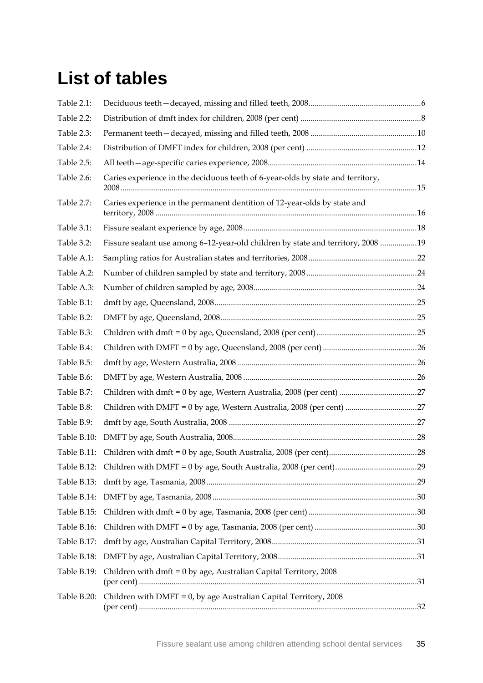# **List of tables**

| Table 2.1:  |                                                                                  |  |
|-------------|----------------------------------------------------------------------------------|--|
| Table 2.2:  |                                                                                  |  |
| Table 2.3:  |                                                                                  |  |
| Table 2.4:  |                                                                                  |  |
| Table 2.5:  |                                                                                  |  |
| Table 2.6:  | Caries experience in the deciduous teeth of 6-year-olds by state and territory,  |  |
| Table 2.7:  | Caries experience in the permanent dentition of 12-year-olds by state and        |  |
| Table 3.1:  |                                                                                  |  |
| Table 3.2:  | Fissure sealant use among 6-12-year-old children by state and territory, 2008 19 |  |
| Table A.1:  |                                                                                  |  |
| Table A.2:  |                                                                                  |  |
| Table A.3:  |                                                                                  |  |
| Table B.1:  |                                                                                  |  |
| Table B.2:  |                                                                                  |  |
| Table B.3:  |                                                                                  |  |
| Table B.4:  |                                                                                  |  |
| Table B.5:  |                                                                                  |  |
| Table B.6:  |                                                                                  |  |
| Table B.7:  |                                                                                  |  |
| Table B.8:  | Children with DMFT = 0 by age, Western Australia, 2008 (per cent) 27             |  |
| Table B.9:  |                                                                                  |  |
| Table B.10: |                                                                                  |  |
| Table B.11: |                                                                                  |  |
|             |                                                                                  |  |
|             |                                                                                  |  |
|             |                                                                                  |  |
|             |                                                                                  |  |
|             |                                                                                  |  |
|             |                                                                                  |  |
|             |                                                                                  |  |
|             | Table B.19: Children with dmft = 0 by age, Australian Capital Territory, 2008    |  |
|             | Table B.20: Children with DMFT = $0$ , by age Australian Capital Territory, 2008 |  |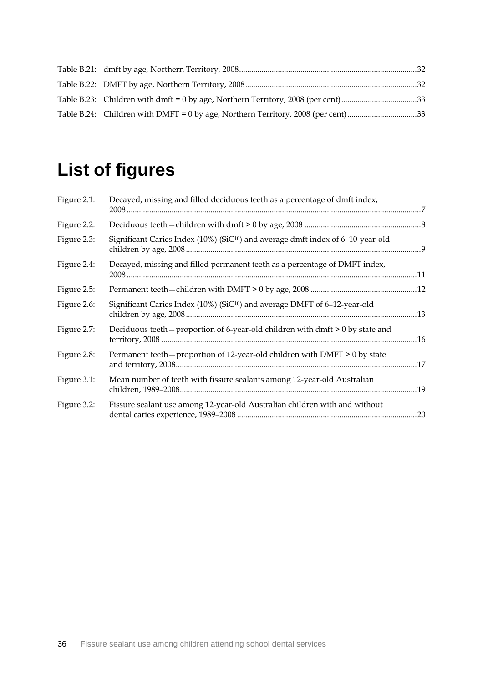| Table B.23: Children with dmft = 0 by age, Northern Territory, 2008 (per cent) 33 |  |
|-----------------------------------------------------------------------------------|--|
| Table B.24: Children with DMFT = 0 by age, Northern Territory, 2008 (per cent) 33 |  |

# **List of figures**

| Figure 2.1: | Decayed, missing and filled deciduous teeth as a percentage of dmft index,                  | $\overline{7}$ |
|-------------|---------------------------------------------------------------------------------------------|----------------|
| Figure 2.2: |                                                                                             |                |
| Figure 2.3: | Significant Caries Index (10%) (SiC <sup>10</sup> ) and average dmft index of 6-10-year-old |                |
| Figure 2.4: | Decayed, missing and filled permanent teeth as a percentage of DMFT index,                  |                |
| Figure 2.5: |                                                                                             |                |
| Figure 2.6: | Significant Caries Index (10%) (SiC <sup>10</sup> ) and average DMFT of 6-12-year-old       |                |
| Figure 2.7: | Deciduous teeth - proportion of 6-year-old children with dmft > 0 by state and              |                |
| Figure 2.8: | Permanent teeth - proportion of 12-year-old children with DMFT > 0 by state                 |                |
| Figure 3.1: | Mean number of teeth with fissure sealants among 12-year-old Australian                     |                |
| Figure 3.2: | Fissure sealant use among 12-year-old Australian children with and without                  |                |